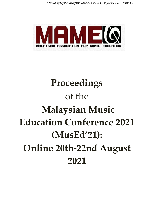*Proceedings of the Malaysian Music Education Conference 2021 (MusEd'21)* 



# **Proceedings** of the **Malaysian Music Education Conference 2021 (MusEd'21): Online 20th-22nd August 2021**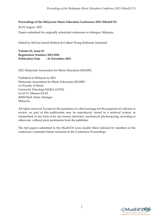#### **Proceedings of the Malaysian Music Education Conference 2021 (MusEd'21)**

20-22 August 2021

Papers submitted for originally scheduled conference in Selangor, Malaysia.

Edited by Md Jais Ismail (Editor) & Colleen Wong (Editorial Assistant)

**Volume 01, Issue 01 Registration Number: 2021-0501 Publication Date : 16 November 2021**

2021 Malaysian Association for Music Education (MAME)

Published in Malaysia in 2021 Malaysian Association for Music Education (MAME) c/o Faculty of Music Universiti Teknologi MARA (UiTM) Level 11, Menara SAAS 40450 Shah Alam, Selangor Malaysia

All rights reserved. Except for the quotation of a short passage for the purposes of criticism or review, no part of this publication may be reproduced, stored in a retrieval system, or transmitted, in any form or by any means, electronic, mechanical, photocopying, recording or otherwise, without prior permission from the publisher.

The full papers submitted to the MusEd'21 were double blind refereed by members of the conference committee before inclusion in the Conference Proceedings.

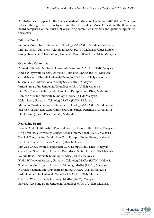All abstracts and papers for the Malaysian Music Education Conference 2021 (MusEd'21) were selected through peer review by a committee of experts in Music Education. The Reviewing Board comprised of the MusEd'21 organizing committee members and qualified appointed reviewers.

## **Editorial Board**

Ramona Mohd. Tahir, Universiti Teknologi MARA (UiTM) Malaysia (Chair) Md Jais Ismail, Universiti Teknologi MARA (UiTM) Malaysia (Chief Editor) Wong Huey Yi @ Colleen Wong, Universiti Pendidikan Sultan Idris, Malaysia

## **Organizing Committee**

Ahmad Rithaudin Md Noor, Universiti Teknologi MARA (UiTM) Malaysia Nadia Widyawati Madzhi, Universiti Teknologi MARA (UiTM) Malaysia Ghaziah Mohd Ghazali, Universiti Teknologi MARA (UiTM) Malaysia Susanna Saw, International Kodály Society (IKS), Malaysia Juriani Jamaludin, Universiti Teknologi MARA (UiTM) Malaysia Lim Zek Chew, Institut Pendidikan Guru Kampus Ilmu Khas, Malaysia Hanizah Musib, Universiti Teknologi MARA (UiTM) Malaysia Helmi Rosli, Universiti Teknologi MARA (UiTM) Malaysia Maryann Magdalena Linnis, Universiti Teknologi MARA (UiTM) Malaysia YM Raja Nadiah Raja Zaharuddin Shah, SK Sungai Penchala KL, Malaysia Lim Li Wen (SJK(C) Kota Emerald, Malaysia

## **Reviewing Board**

Fauzila Abdul Latif, Institut Pendidikan Guru Kampus Ilmu Khas, Malaysia P'ng Tean Hwa University College Sedaya International (UCSI), Malaysia Toh Lai Chee, Institut Pendidikan Guru Kampus Pulau Pinang, Malaysia Pan Kok Chang, Universiti Malaya (UM), Malaysia Lim Zek Chew, Institut Pendidikan Guru Kampus Ilmu Khas, Malaysia Clare Chan Suet Ching, Universiti Pendidikan Sultan Idris (UPSI), Malaysia Valerie Ross, Universiti Teknologi MARA (UiTM), Malaysia Nadia Widyawati Madzhi, Universiti Teknologi MARA (UiTM), Malaysia Shahanum Mohd Shah, Universiti Teknologi MARA (UiTM), Malaysia Nur Izzati Jamalludin, Universiti Teknologi MARA (UiTM), Malaysia Juriani Jamaludin, Universiti Teknologi MARA (UiTM), Malaysia Chai Tse Wei, Universiti Teknologi MARA (UiTM), Malaysia Bernard Tan Yong Boon, Universiti Teknologi MARA (UiTM), Malaysia

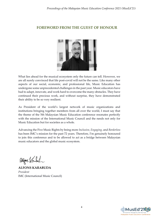## **FOREWORD FROM THE GUEST OF HONOUR**



What lies ahead for the musical ecosystem only the future can tell. However, we are all surely convinced that life post-covid will not be the same. Like many other aspects of our social, economic, and professional life, Music Education has undergone some unprecedented challenges in the past year. Music educators have had to adapt, innovate, and work hard to overcome the many obstacles. They have continued their precious work, and without surprise, they have demonstrated their ability to be so very resilient.

As President of the world's largest network of music organizations and institutions bringing together members from all over the world, I must say that the theme of the 5th Malaysian Music Education conference resonates perfectly with the mission of the International Music Council and the needs not only for Music Education but for societies as a whole.

Advancing the Five Music Rights by being more *Inclusive*, *Engaging,* and *Borderless*  has been IMC's mission for the past 72 years. Therefore, I'm genuinely honoured to join this conference and to be allowed to act as a bridge between Malaysian music educators and the global music ecosystem.

Algae Vant

**ALFONS KARABUDA** *President* IMC (International Music Council)

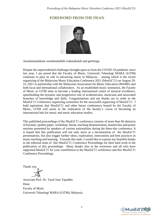# **FOREWORD FROM THE DEAN**



Assalamualaikum warahmatullahi wabarakatuh and greetings.

Despite the unprecedented challenges brought upon us from the COVID-19 pandemic since last year, I am proud that the Faculty of Music, Universiti Teknologi MARA (UiTM) continues to play its role in advancing music in Malaysia – among which is the recent organizing of the Malaysian Music Education Conference 2021 (MusEd'21) on August 20- 22, 2021 in partnership with the Malaysian Association for Music Education (MAME) and both local and international collaborators. As an established music institution, the Faculty of Music at UiTM aims to become a leading international centre of musical excellence, spearheading the dynamic and progressive role of academicians, musicians and associated branches of knowledge and skills. Congratulations and my thanks are in order to the MusEd'21 Conference organizing committee for the successful organizing of MusEd'21. I hold aspirations that MusEd'21 and other future conferences hosted by the Faculty of Music, UiTM will assist in the realization of the faculty's vision of becoming an international hub for music and music education studies.

This published proceedings of the MusEd'21 conference consists of more than 60 abstracts of keynote, spoken paper, workshop, forum, teaching demonstration, masterclass and poster sessions presented by speakers of various nationalities during the three-day conference. It is hoped that this publication will not only serve as a documention of the MusEd'21 presentations, but also trigger further ideas, exploration, innovations and best practices in music teaching and learning. Towards this ends, I would like to express my heartfelt thanks to the editorial team of this MusEd'21 Conference Proceedings for their hard work in the publication of this proceedings. Many thanks also to the reviewers and all who have supported MusEd'21 for your contribution to the MusEd'21 conference and this MusEd'21 Conference Proceedings.

Thank you.

Associate Prof. Dr. Tazul Izan Tajuddin Dean Faculty of Music Universiti Teknologi MARA (UiTM), Malaysia

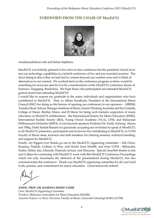## **FOREWORD FROM THE CHAIR OF MusEd'21**



Assalamualaikum wbt and Salam Sejahtera.

MusEd'21 was Initially planned to be a face-to-face conference but the pandemic forced us to test our technology capabilities in a hybrid conference of live and pre-recorded sessions. The silver lining in this is that we had had to venture beyond our comfort zone and to think of alternatives to our normal. We worked hard on the conference program so there would be something for everyone and for it to be a manifestation of the MusEd'21 conference theme of Inclusive. Engaging. Borderless. We hope those who participated and attended MusEd'21 gained much from attending MusEd'21!

I would like to express my gratitude to the many individuals and organizations who have contributed to MusEd'21. First, to Alfons Karabuda, President of the International Music Council (IMC) for doing us the honour of opening our conference; to our sponsors – ABRSM, Yamaha Music School, Selangor Institute of Music, Sound Thinking Australia and the Cuskelly College of Music, Bentley Music, and JS Music for being such fantastic supporters of music education; to MusEd'21 collaborators – the International Society for Music Education (ISME), International Kodály Society (IKS), Young Choral Academy (YCA), UPSI, and Malaysian Philharmonic Orchestra (MPO); to our keynote speakers Professor Dr. Emily Achieng' Akuno and YBhg. Datin Saidah Rastam for graciously accepting our invitation to speak at MusEd'21; to all MusEd'21 presenters, participants and reviewers for contributing to MusEd'21; to UiTM Faculty of Music dean, lecturers and staff members for chairing sessions, technical handling, and support for MusEd'21.

Finally, my biggest ever thanks go out to the MusEd'21 organizing committee – Zek Chew, Susanna, Nadiah, Colleen, Li Wen, and Haidir from MAME, and from UiTM - Rithaudin, Nadia, Helmi, Jais, Ghaziah, Hanizah, Juriani, and Maryann. Special, heartfelt thanks to Jais and Colleen for continuing with MusEd'21 work with this MusEd'21 Conference Proceedings which not only documents the abstracts of the presentations during MusEd'21, but also commemorates the conference. Thank you MusEd'21 organizing committee for all your hard work, passion, and commitment for music education. Great teamwork indeed!

**ASSOC. PROF. DR. RAMONA MOHD TAHIR** *Chair*, MusEd'21 Organizing Committee *President,* Malaysian Association for Music Education (MAME) *Associate Professor in Music Education*, Faculty of Music, Universiti Teknologi MARA (UiTM)

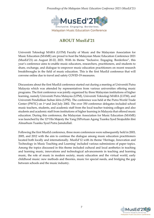*Proceedings of the Malaysian Music Education Conference 2021 (MusEd'21)* 



# **ABOUT MusEd'21**

Universiti Teknologi MARA (UiTM) Faculty of Music and the Malaysian Association for Music Education (MAME) are proud to host the Malaysian Music Education Conference 2021 (MusEd'21) on August 20-22, 2021. With its theme "Inclusive. Engaging. Borderless", this year's conference aims to enable music educators, researchers, practitioners, and students to share, exchange, and dialogue to empower music education practitioners on recent research breakthroughs in the field of music education. This is the first MusEd conference that will convene online due to travel and safety COVID-19 measures.

Discussions about the first MusEd conference started out during a meeting at Universiti Putra Malaysia which was attended by representatives from various universities offering music programs. The first conference was jointly organized by three Malaysian institutions of higher learning, namely Universiti Putra Malaysia (UPM), Universiti Teknologi MARA (UiTM), and Universiti Pendidikan Sultan Idris (UPSI). The conference was held at the Putra World Trade Center (PWTC) on 1st and 2nd July 2002. The over 350 conference delegates included school music teachers, students, and academic staff from the local teacher training colleges and also students and academic staff from institutions of higher learning in Malaysia that offered music education. During this conference, the Malaysian Association for Music Education (MAME) was launched by the 12th His Majesty the Yang DiPertuan Agong Tuanku Syed Sirajuddin ibni Almarhum Tuanku Syed Putra Jamalullail.

Following the first MusEd conference, three more conferences were subsequently held in 2003, 2005, and 2012 with the aim to continue the dialogue among music education practitioners located both locally and internationally. MusEd'12 with its theme 'Heritage, Innovation and Technology in Music Teaching and Learning' included various submissions of paper topics. Among the topics discussed in this theme included cultural and local aesthetics in teaching and learning music, innovations and technological advancements in teaching and learning music, the role of music in modern society, music education and the virtual world, early childhood music: new methods and theories, music for special needs, and bridging the gap between schools and the music industry.

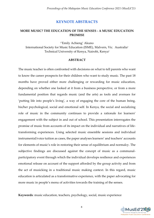## **KEYNOTE ABSTRACTS**

## **MORE MUSIC? THE EDUCATION OF THE SENSES - A MUSIC EDUCATION PROMISE**

1\*Emily Achieng' Akuno International Society for Music Education (ISME), Malvern, Vic. Australia<sup>1</sup> Technical University of Kenya, Nairobi, Kenya<sup>1</sup>

#### **ABSTRACT**

The music teacher is often confronted with decisions on what to tell parents who want to know the career prospects for their children who want to study music. The past 18 months have proved either more challenging or rewarding for music education, depending on whether one looked at it from a business perspective, or from a more fundamental position that regards music (and the arts) as tools and avenues for 'putting life into people's living', a way of engaging the core of the human being, his/her psychological, social and emotional self. In Kenya, the social and socializing role of music in the community continues to provide a rationale for learners' engagement with the subject in and out of school. This presentation interrogates the promise of music from accounts of its impact on the individual and narratives of lifetransforming experiences. Using selected music ensemble sessions and individual instrumental/voice tuition as cases, the paper analyses learners' and teachers' accounts for elements of music's role in restoring their sense of equilibrium and normalcy. The subjective findings are discussed against the concept of music as a communalparticipatory event through which the individual develops resilience and experiences emotional release on account of the support afforded by the group activity and from the act of musicking in a traditional music making context. In this regard, music education is articulated as a transformative experience, with the paper advocating for more music in people's menu of activities towards the training of the senses.

**Keywords**: music education, teachers, psychology, social, music experience

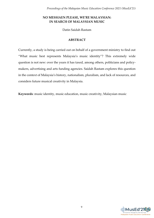## **NO MESSIAEN PLEASE, WE'RE MALAYSIAN: IN SEARCH OF MALAYSIAN MUSIC**

Datin Saidah Rastam

## **ABSTRACT**

Currently, a study is being carried out on behalf of a government ministry to find out "What music best represents Malaysia's music identity"? This extremely wide question is not new: over the years it has taxed, among others, politicians and policymakers, advertising and arts funding agencies. Saidah Rastam explores this question in the context of Malaysia's history, nationalism, pluralism, and lack of resources, and considers future musical creativity in Malaysia.

**Keywords**: music identity, music education, music creativity, Malaysian music

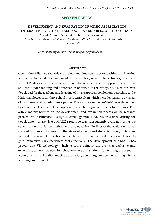## **SPOKEN PAPERS**

## **DEVELOPMENT AND EVALUATION OF MUSIC APPRECIATION INTERACTIVE VIRTUAL REALITY SOFTWARE FOR LOWER SECONDARY**

<sup>1</sup>\*Abdul Rahman Safian & <sup>2</sup>Zaharul Lailiddin Saidon *Department of Music and Music Education, Sultan Idris Education University, Malaysia1.2*

*Corresponding author: \*rahmansafian7@gmail.com*

#### **ABSTRACT**

Generation Z literacy towards technology requires new ways of teaching and learning to create active student engagement. In this context, new media technologies such as Virtual Reality (VR) could be of great potential as an alternative approach to improve students' understanding and appreciation of music. In this study, a VR software was developed for the teaching and learning of music appreciation lessons according to the Malaysian lower secondary school music curriculum which includes learning a variety of traditional and popular music genres. The software named e-MARZ was developed based on the Design and Development Research design comprising four phases. This article mainly focuses on the development and evaluation phases of the research project. An Instructional Design Technology model ADDIE was used during the development phase. The e-MARZ prototype was subsequently evaluated using the concurrent triangulation method to assess usability. Findings of the evaluation phase showed high usability based on the views of experts and students through interview methods and usability questionnaires. The software can be used on various devices to gain immersive VR experiences cost-effectively. The development of e-MARZ has proven that VR technology which at some point in the past was exclusive and expensive, can now be used by school teachers and students for learning purposes. **Keywords:** Virtual reality, music appreciation, e-learning, immersive learning, virtual learning environment

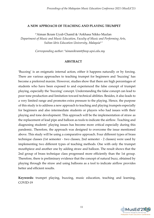#### **A NEW APPROACH OF TEACHING AND PLAYING TRUMPET**

1\*Aiman Ikram Uyub Chamil & 2Arkhasa Nikko Mazlan *Department of Music and Music Education, Faculty of Music and Performing Arts, Sultan Idris Education University, Malaysia1.2*

*Corresponding author: \*aimanikram@fmsp.upsi.edu.my*

## **ABSTRACT**

'Buzzing' is an enigmatic internal action, either it happens naturally or by forcing. There are various approaches to teaching trumpet for beginners and 'buzzing' has become a preferred maxim. However, studies show that there are high percentages of students who have been exposed to and experienced the false concept of trumpet playing, especially the 'buzzing' concept. Understanding the false concept can lead to poor tone production and limitation toward technical abilities. Besides, it also leads to a very limited range and promotes extra pressure to the playing. Hence, the purpose of this study is to address a new approach to teaching and playing trumpets especially for beginners and also intermediate students or players who had issues with their playing and tone development. This approach will be the implementation of straw as the replacement of lead pipe and balloon as tools to indicate the airflow. Teaching and diagnosing students' playing issues has become more critical especially during this pandemic. Therefore, the approach was designed to overcome the issue mentioned above. This study will be using a comparative approach. Four different types of brass technique classes (1st semester - two classes, 2nd semester - 2 classes) were used by implementing two different types of teaching methods. One with only the trumpet mouthpiece and another one by adding straw and balloon. The result shows that the 2nd group of brass technique class progressed more efficiently than the 1st group. Therefore, there is preliminary evidence that the concept of natural buzz, obtained by playing through the straw and using balloons as a tool to indicate airflow provides better and efficient results.

**Keywords:** trumpet playing, buzzing, music education, teaching and learning, COVID-19

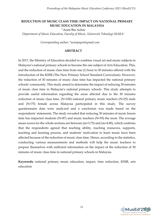*Proceedings of the Malaysian Music Education Conference 2021 (MusEd'21)* 

## **REDUCTION OF MUSIC CLASS TIME: IMPACT ON NATIONAL PRIMARY MUSIC EDUCATION IN MALAYSIA**

1\*Azmi Bin Azhar

*Department of Music Education, Faculty of Music, Universiti Teknologi MARA<sup>1</sup>*

*Corresponding author: \*azmipayne@gmail.com*

#### **ABSTRACT**

In 2017, the Ministry of Education decided to combine visual art and music subjects in Malaysia's national primary schools to become the one subject of Arts Education. This, and the reduction of music class time from one (1) hour to 30 minutes offered with the introduction of the KSSR (The New Primary School Standard Curriculum). However, the reduction of 30 minutes of music class time has impacted the national primary schools' community. This study aimed to determine the impact of reducing 30 minutes of music class time in Malaysia's national primary schools. This study attempts to provide useful information regarding the areas affected due to the 30 minutes reduction of music class time. (N=100) national primary music teachers (N=25) male and (N=75) female across Malaysia participated in this study. The survey questionnaire data were analyzed and a conclusion was made based on the respondents' statements. The study revealed that reducing 30 minutes of music lesson time has impacted students ( $N=87$ ) and music teachers ( $N=93$ ) the most. The average mean scores for the whole sections are between (m=3.75) and (m=4.80), which confirms that the respondents agreed that teaching ability, teaching resources, supports, teaching and learning process, and students' motivation to learn music have been affected because of the reduction of music class time. Hence, according to the statistics, conducting various measurements and methods will help the music teachers to prepare themselves with sufficient information on the impact of the reduction of 30 minutes of music class time in national primary schools in Malaysia.

**Keywords:** national primary music education, impact, time reduction, KSSR, arts education

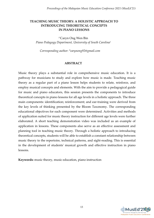## **TEACHING MUSIC THEORY: A HOLISTIC APPROACH TO INTRODUCING THEORETICAL CONCEPTS IN PIANO LESSONS**

1\*Caryn Ong Wen Bin *Piano Pedagogy Department, University of South Carolina<sup>1</sup>*

*Corresponding author: \*carynong92@gmail.com*

#### **ABSTRACT**

Music theory plays a substantial role in comprehensive music education. It is a pathway for musicians to study and explore how music is made. Teaching music theory as a regular part of a piano lesson helps students to relate, reinforce, and employ musical concepts and elements. With the aim to provide a pedagogical guide for music and piano educators, this session presents the components to introduce theoretical concepts in piano lessons for all age levels in a holistic approach. The three main components: identification; reinforcement; and ear-training were derived from the key levels of thinking presented by the Bloom Taxonomy. The corresponding educational objectives for each component were determined. Activities and methods of application suited for music theory instruction for different age levels were further elaborated. A short teaching demonstration video was included as an example of application in lessons. These components also serve as an effective assessment and planning tool in teaching music theory. Through a holistic approach to introducing theoretical concepts, students will be able to establish a constant relationship between music theory to the repertoire, technical patterns, and sight-reading. This is essential in the development of students' musical growth and effective instruction in piano lessons.

**Keywords:** music theory, music education, piano instruction

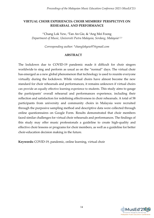## **VIRTUAL CHOIR EXPERIENCES: CHOIR MEMBERS' PERSPECTIVE ON REHEARSAL AND PERFORMANCE**

<sup>1</sup>\*Chang Lok Yew, <sup>2</sup>Tan An Gie, & <sup>3</sup>Ang Mei Foong *Department of Music, Universiti Putra Malaysia, Serdang, Malaysia1,2,3*

*Corresponding author: \*changlokyew97@gmail.com*

## **ABSTRACT**

The lockdown due to COVID-19 pandemic made it difficult for choir singers worldwide to sing and perform as usual as on the "normal" days. The virtual choir has emerged as a new global phenomenon that technology is used to reunite everyone virtually during the lockdown. While virtual choirs have almost become the new standard for choir rehearsals and performances, it remains unknown if virtual choirs can provide an equally effective learning experience to students. This study aims to gauge the participants' overall rehearsal and performances experience, including their reflection and satisfaction for redefining effectiveness in choir rehearsals. A total of 58 participants from university and community choirs in Malaysia were recruited through the purposive sampling method and descriptive data were collected through online questionnaires on Google Form. Results demonstrated that choir members faced similar challenges for virtual choir rehearsals and performances. The findings of this study may offer music professionals a guideline to create high-quality and effective choir lessons or programs for choir members, as well as a guideline for better choir-education decision making in the future.

**Keywords:** COVID-19, pandemic, online learning, virtual choir

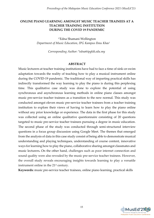## **ONLINE PIANO LEARNING AMONGST MUSIC TEACHER TRAINEES AT A TEACHER TRAINING INSTITUTION DURING THE COVID 19 PANDEMIC**

1\*Edna Shamani Wellington *Department of Music Education, IPG Kampus Ilmu Khas<sup>1</sup>*

*Corresponding Author: \*edna@ipgkik.edu.my*

#### **ABSTRACT**

Music lecturers at teacher training institutions have had to face a time of sink-or-swim adaptation towards the reality of teaching how to play a musical instrument online during the COVID-19 pandemic. The traditional way of imparting practical skills has indirectly transformed the way learning to play the piano is during this perplexing time. This qualitative case study was done to explore the potential of using synchronous and asynchronous learning methods in online piano classes amongst music pre-service teacher trainees as a transition to the new normal. This study was conducted amongst eleven music pre-service teacher trainees from a teacher training institution to explore their views of having to learn how to play the piano online without any prior knowledge or experience. The data in the first phase for this study was collected using an online qualitative questionnaire consisting of 20 questions targeted to music pre-service teacher trainees pursuing a degree in music education. The second phase of the study was conducted through semi-structured interview questions in a focus group discussion using Google Meet. The themes that emerged from the analysis of data in this case study consist of being able to demonstrate musical understanding and playing techniques, understanding of course content, innovative ways for learning how to play the piano, collaborative sharing amongst classmates and music lecturers**.** On the other hand, challenges such as poor internet connection and sound quality were also revealed by the music pre-service teacher trainees. However, the overall study reveals encouraging insights towards learning to play a versatile instrument online in the 21<sup>st</sup> century.

**Keywords:** music pre-service teacher trainees, online piano learning, practical skills

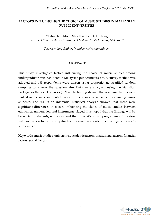## **FACTORS INFLUENCING THE CHOICE OF MUSIC STUDIES IN MALAYSIAN PUBLIC UNIVERSITIES**

<sup>1</sup>\*Fatin Hani Mohd Sheriff & <sup>2</sup>Pan Kok Chang *Faculty of Creative Arts, University of Malaya, Kuala Lumpur, Malaysia1&2*

*Corresponding Author: \*fatinhani@siswa.um.edu.my*

## **ABSTRACT**

This study investigates factors influencing the choice of music studies among undergraduate music students in Malaysian public universities. A survey method was adopted and 489 respondents were chosen using proportionate stratified random sampling to answer the questionnaire. Data were analyzed using the Statistical Package for the Social Sciences (SPSS). The finding showed that academic factors were ranked as the most influential factor on the choice of music studies among music students. The results on inferential statistical analysis showed that there were significant differences in factors influencing the choice of music studies between ethnicities, universities, and instruments played. It is hoped that the findings will be beneficial to students, educators, and the university music programmes. Educators will have access to the most up-to-date information in order to encourage students to study music.

**Keywords:** music studies, universities, academic factors, institutional factors, financial factors, social factors

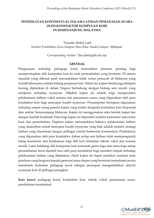## **PENDEKATAN KONTEKSTUAL DALAM LATIHAN PEMANASAN SUARA OLEH KONDUKTOR KUMPULAN KOIR DI SEMENANJUNG MALAYSIA**

1\*Fauzila Abdul Latif *Institut Pendidikan Guru Kampus Ilmu Khas, Kuala Lumpur, Malaysia<sup>1</sup>*

*Corresponding Author: \*fauzila@ipgkik.edu.my*

#### **ABSTRAK**

Penguasaan terhadap pedagogi koral memainkan peranan penting bagi mempersiapkan ahli kumpulan koir ke arah persembahan yang bermutu. Di antara masalah yang dikenal pasti menunjukkan tidak ramai pemuzik di Malaysia yang terlatih khususnya dalam bidang pimpinan koir. Selain itu, kajian ilmiah juga didapati kurang dijalankan di dalam Negara berhubung dengan bidang seni muzik yang menjurus terhadap nyanyian. Objektif kajian ini adalah bagi menganalisis pelaksanaan latihan vokal semasa sesi pemanasan suara yang digunakan oleh para konduktor koir bagi mencapai kualiti nyanyian. Persampelan bertujuan digunakan terhadap empat orang peserta kajian yang terdiri daripada konduktor koir berprestij dari sekitar Semenanjung Malaysia. Kajian ini menggunakan reka bentuk kajian kes dengan kaedah kualitatif. Data bagi kajian ini diperoleh melalui instrumen iaitu temu bual dan pemerhatian. Dapatan kajian menunjukkan bahawa pelaksanaan latihan yang diamalkan untuk mencapai kualiti nyanyian yang baik adalah melalui strategi latihan yang disertakan dengan pelbagai contoh berbentuk kontekstual. Pendekatan yang digunakan oleh para konduktor dalam setiap sesi latihan telah mempengaruhi tahap kesedaran dan kefahaman bagi ahli koir berkaitan teknik vokal dan konsep muzik. Latar belakang ahli kumpulan koir termasuk genre lagu dan tema bagi setiap persembahan turut diambil kira oleh para konduktor bagi memberi impak terhadap pelaksanaan latihan yang dijalankan. Hasil kajian ini dapat memberi manfaat serta panduan yang berguna kepada generasi masa depan yang berminat memahami secara mendalam berkaitan pedagogi koral sebagai persiapan mengendalikan aktiviti nyanyian koir di pelbagai peringkat.

**Kata kunci:** pedagogi koral, konduktor koir, teknik vokal, pemanasan suara, pendekatan kontekstual

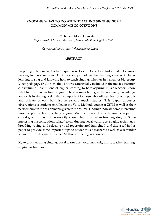## **KNOWING WHAT TO DO WHEN TEACHING SINGING: SOME COMMON MISCONCEPTIONS**

1\*Ghaziah Mohd Ghazali *Department of Music Education, Universiti Teknologi MARA<sup>1</sup>*

*Corresponding Author: \*ghaziah@gmail.com*

## **ABSTRACT**

Preparing to be a music teacher requires one to learn to perform tasks related to musicmaking in the classroom. An important part of teacher training courses includes learning to sing and knowing how to teach singing, whether in a small or big group. Voice pedagogy or Voice methods courses are usually included in the music education curriculum at institutions of higher learning to help aspiring music teachers know what to do when teaching singing. These courses help give the necessary knowledge and skills in singing, a skill that is important to those who will service not only public and private schools but also in private music studios. This paper discusses observations of students enrolled in the Voice Methods course at UiTM as well as their performance in the assignments given in the course. Findings indicate some interesting misconceptions about teaching singing. Many students, despite having been part of choral groups, may not necessarily know what to do when teaching singing. Some interesting misconceptions related to conducting vocal warm-ups, singing techniques, breathing to sing, and selecting vocal repertoire are highlighted and discussed in this paper to provide some important tips to novice music teachers as well as a reminder to curriculum designers of Voice Methods or pedagogy courses.

**Keywords:** teaching singing, vocal warm ups, voice methods, music teacher-training, singing techniques

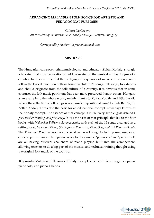## **ARRANGING MALAYSIAN FOLK SONGS FOR ARTISTIC AND PEDAGOGICAL PURPOSES**

1\*Gilbert De Greeve *Past President of the International Kodály Society, Budapest, Hungary 1*

*Corresponding Author: \*degreeve@hotmail.com*

#### **ABSTRACT**

The Hungarian composer, ethnomusicologist, and educator, Zoltán Kodály, strongly advocated that music education should be related to the musical mother tongue of a country. In other words, that the pedagogical sequences of music education should follow the logical evolution of those found in children's songs, folk songs, folk dances and should originate from the folk culture of a country. It is obvious that in some countries the folk music patrimony has been more preserved than in others. Hungary is an example to the whole world, mainly thanks to Zoltán Kodály and Béla Bartók. Where the collection of folk songs was a pure 'compositional issue' for Béla Bartók, for Zoltán Kodály it was also the basis for an educational concept, nowadays known as the Kodály concept. The essence of that concept is in fact very simple: *good materials, good teacher training, and frequency*. It was the basis of that principle that led to the four books with *Malaysian Folksong Arrangements*, with each of the 15 songs arranged in a setting for *(i) Voice and Piano, (ii) Beginner Piano, (iii) Piano Solo, and (iv) Piano 4-Hands*. The *Voice and Piano* version is conceived as an art song, to train young singers in classical performance. The 3 piano books, for 'beginners', 'piano solo' and 'piano duet', are all having different challenges of piano playing built into the arrangement, allowing teachers to do a big part of the musical and technical training thought using the original folk music of the country.

**Keywords:** Malaysian folk songs, Kodály concept, voice and piano, beginner piano, piano solo, and piano 4-hands

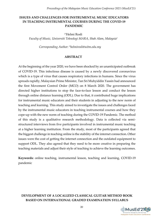## **ISSUES AND CHALLENGES FOR INSTRUMENTAL MUSIC EDUCATORS IN TEACHING INSTRUMENTAL COURSES DURING THE COVID-19 PANDEMIC**

1\*Helmi Rosli

*Faculty of Music, Universiti Teknologi MARA, Shah Alam, Malaysia<sup>1</sup>*

*Corresponding Author: \*helmirosli@uitm.edu.my*

#### **ABSTRACT**

At the beginning of the year 2020, we have been shocked by an unanticipated outbreak of COVID-19. This infectious disease is caused by a newly discovered coronavirus which is a type of virus that causes respiratory infections in humans. Since the virus spreads rapidly, Malaysian Prime Minister, Tan Sri Muhyiddin Yassin had announced the first Movement Control Order (MCO) on 8 March 2020. The government has directed higher institutions to stop the face-to-face lesson and conduct the lesson through online distance learning (ODL). Due to that, it contributed huge implications for instrumental music educators and their students in adjusting to the new norm of teaching and learning. This study aimed to investigate the issues and challenges faced by the instrumental music educators in teaching instrumental courses and how they cope-up with the new norm of teaching during the COVID-19 Pandemic. The method of this study is a qualitative research methodology. Data is collected via semistructured interviews from five participants involved in instrumental music teaching at a higher learning institution. From the study, most of the participants agreed that the biggest challenge in teaching online is the stability of the internet connection. Other issues were the cost of getting the internet connection and the outdated equipment to support ODL. They also agreed that they need to be more creative in preparing the teaching materials and adjust their style of teaching to achieve the learning outcomes.

**Keywords:** online teaching, instrumental lesson, teaching and learning, COVID-19 pandemic

## **DEVELOPMENT OF A LOCALIZED CLASSICAL GUITAR METHOD BOOK BASED ON INTERNATIONAL GRADED EXAMINATION SYLLABUS**

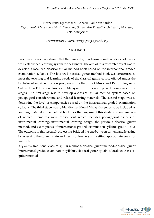<sup>1</sup>\*Herry Rizal Djahwasi & <sup>2</sup>Zaharul Lailiddin Saidon *Department of Music and Music Education, Sultan Idris Education University Malaysia, Perak, Malaysia1&2*

*Corresponding Author: \*herry@fmsp.upsi.edu.my*

## **ABSTRACT**

Previous studies have shown that the classical guitar learning method does not have a well-established learning system for beginners. The aim of this research project was to develop a localized classical guitar method book based on the international graded examination syllabus. The localized classical guitar method book was structured to meet the teaching and learning needs of the classical guitar course offered under the bachelor of music education program at the Faculty of Music and Performing Arts, Sultan Idris Education University Malaysia. The research project comprises three stages. The first stage was to develop a classical guitar method system based on pedagogical considerations and related learning materials. The second stage was to determine the level of competencies based on the international graded examination syllabus. The third stage was to identify traditional Malaysian songs to be included as learning material in the method book. For the purpose of this study, content analysis of related literatures were carried out which includes pedagogical aspects of instrumental learning, instrumental learning design, the previous classical guitar method, and exam pieces of international graded examination syllabus grade 1 to 2. The outcome of this research project has bridged the gap between content and learning by assessing the current state and needs of learners and setting appropriate goals for instruction.

**Keywords:** traditional classical guitar methods, classical guitar method, classical guitar International graded examination syllabus, classical guitar syllabus, localized classical guitar method

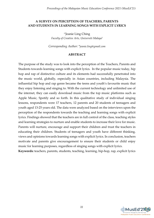## **A SURVEY ON PERCEPTION OF TEACHERS, PARENTS AND STUDENTS IN LEARNING SONGS WITH EXPLICIT LYRICS**

1\*Jeanie Ling Ching *Faculty of Creative Arts, Universiti Malaya*<sup>1</sup>

*Corresponding Author: \*jeanie.ling@gmail.com*

#### **ABSTRACT**

The purpose of the study was to look into the perception of the Teachers, Parents and Students towards learning songs with explicit lyrics. In the popular music today, hip hop and rap of distinctive culture and its elements had successfully penetrated into the music world, globally, especially in Asian countries, including Malaysia. The influential hip hop and rap genre became the teens and youth's favourite music that they enjoy listening and singing to. With the current technology and unlimited use of the internet, they can easily download music from the top music platforms such as Apple Music, Spotify and so forth. In this qualitative study of individual singing lessons, respondents were 17 teachers, 12 parents and 20 students of teenagers and youth aged 13-25 years old. The data were analyzed based on the interviews upon the perception of the respondents towards the teaching and learning songs with explicit lyrics. Findings showed that the teachers are in full control of the class, teaching styles and learning strategies to nurture and enable students to increase their love for music. Parents will nurture, encourage and support their children and trust the teachers in educating their children. Students of teenagers and youth have different thinking, views and opinions towards learning songs with explicit lyrics. In conclusion, teachers motivate and parents give encouragement to ensure their students or child enjoy music for learning purposes, regardless of singing songs with explicit lyrics.

**Keywords:** teachers, parents, students, teaching, learning, hip-hop, rap, explicit lyrics

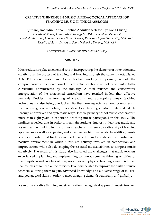## **CREATIVE THINKING IN MUSIC: A PEDAGOGICAL APPROACH OF TEACHING MUSIC IN THE CLASSROOM**

<sup>1</sup>\*Juriani Jamaludin, <sup>2</sup>Anna Christina Abdullah & <sup>3</sup>Jason Tye Kong Chiang *Faculty of Music, Universiti Teknologi MARA, Shah Alam Malaysia<sup>1</sup> School of Education, Humanities and Social Science, Wawasan Open University, Malaysia<sup>2</sup> Faculty of Arts, Universiti Sains Malaysia, Penang, Malaysia<sup>3</sup>*

*Corresponding Author: \*juria914@uitm.edu.my*

## **ABSTRACT**

Music educators play an essential role in incorporating the elements of innovation and creativity in the process of teaching and learning through the currently established Arts Education curriculum. As a teacher working in primary school, the comprehensive implementation of musical activities should not solely be limited to the curriculum administered by the ministry. A total reliance and conservative interpretation of the established curriculum have resulted in less than effective methods. Besides, the teaching of creativity and appropriate music teaching techniques are also being overlooked. Furthermore, especially among youngsters in the early stages of schooling, it is critical to cultivating creative traits and talents through appropriate and systematic ways. Twelve primary school music teachers with more than eight years of experience teaching music participated in this study. The findings revealed that in order to maintain students' interest in learning music and foster creative thinking in music, music teachers must employ a diversity of teaching approaches as well as engaging and effective teaching materials. In addition, music teachers reported that Kodály's method enabled them to establish a supportive and positive environment in which pupils are actively involved in composition and improvisation, while also developing the essential musical abilities to compose music creatively. The result of this study also indicated the challenges that music teachers experienced in planning and implementing continuous creative thinking activities for their pupils, as well as a lack of time, resources, and physical teaching space. It is hoped that courses organized at the ministry level will be able to improve the skills of music teachers, allowing them to gain advanced knowledge and a diverse range of musical and pedagogical skills in order to meet changing demands nationally and globally.

**Keywords:** creative thinking, music education, pedagogical approach, music teacher

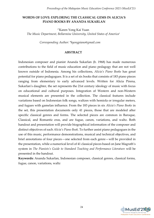## **WORDS OF LOVE: EXPLORING THE CLASSICAL GEMS IN ALICIA'S PIANO BOOKS BY ANANDA SUKARLAN**

1\*Karen Yong Kai Yuan *The Music Department, Bellarmine University, United States of America<sup>1</sup>*

*Corresponding Author: \*kyongpiano@gmail.com*

#### **ABSTRACT**

Indonesian composer and pianist Ananda Sukarlan (b. 1968) has made numerous contributions to the field of music education and piano pedagogy that are not well known outside of Indonesia. Among his collections, *Alicia's Piano Books* has great potential for piano pedagogues. It is a set of six books that consists of 183 piano pieces ranging from elementary to early advanced levels. Written for Alicia Pirena, Sukarlan's daughter, the set represents the 21st century ideology of music with focus on educational and cultural purposes. Integration of Western and non-Western musical elements are presented in the collection. The classical features include variations based on Indonesian folk songs, waltzes with hemiola or irregular meters, and fugues with gamelan influence. From the 183 pieces in six *Alicia's Piano Books* in the set, this presentation documents only 41 pieces, those that are modeled after specific classical genres and forms. The selected pieces are common in Baroque, Classical, and Romantic eras, and are fugue, canon, variations, and waltz. Both handout and presentation will provide biographical information of the composer and distinct objectives of each *Alicia's Piano Book*. To further assist piano pedagogues in the use of this music, performance demonstrations, musical and technical objectives, and brief annotations of four pieces—one selected from each genre—will be provided in the presentation, while a numerical level of 41 classical pieces based on Jane Magrath's system in *The Pianists's Guide to Standard Teaching and Performance Literature* will be presented in the handout.

**Keywords:** Ananda Sukarlan, Indonesian composer, classical genres, classical forms, fugue, canon, variations, waltz

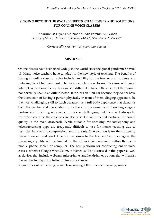## **SINGING BEYOND THE WALL: BENEFITS, CHALLENGES AND SOLUTIONS FOR ONLINE VOICE CLASSES**

1\*Khairunnisa Diyana Md Noor & 2Alia Farahin Ab Wahab *Faculty of Music, Universiti Teknologi MARA, Shah Alam, Malaysia1&2*

*Corresponding Author: [\\*kdiyana@uitm.edu.my](mailto:kdiyana@uitm.edu.my)*

#### **ABSTRACT**

Online classes have been used widely in the world since the global pandemic COVID 19. Many voice teachers have to adapt to the new style of teaching. The benefits of having an online class for voice include flexibility for the teacher and students and reducing travel time and cost. The lesson can be more focused because with good internet connections; the teacher can hear different details of the voice that they would not normally hear in an offline lesson. It focuses on their ear because they do not have the distraction of having a person physically in front of them. Singing appears to be the most challenging skill to teach because it is a full-body experience that demands both the teacher and the student to be there in the same room. Teaching singers' posture and breathing on a screen device is challenging, but there will always be restrictions because these aspects are also crucial in instrumental teaching. The sound quality is the main drawback. While suitable for speaking, videotelephony and teleconferencing apps are frequently difficult to use for music teaching due to restricted bandwidth, compression, and dropouts. One solution is for the student to record themself and send it before the lesson to the teacher. Yet, once again, the recording's quality will be limited by the microphone contained within the user's mobile phone, tablet, or computer. The best platform for conducting online voice classes, whether Google Meet, Zoom, or Webex, will be discussed in this paper, as well as devices that include webcam, microphone, and headphones options that will assist the teacher in preparing better online voice classes.

**Keywords:** online learning, voice class, singing, ODL, distance learning, singer

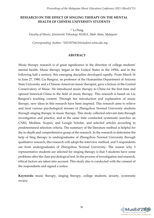## **RESEARCH ON THE EFFECT OF SINGING THERAPY ON THE MENTAL HEALTH OF CHINESE UNIVERSITY STUDENTS**

1\* Li Peng

*Faculty of Music, Universiti Teknologi MARA, Shah Alam, Malaysia<sup>1</sup>*

*Corresponding Author: \*2021970411@student.uitm.edu.my*

#### **ABSTRACT**

Music therapy research is of great significance in the direction of college students' mental health. Music therapy began in the United States in the 1950s, and in the following half a century, this emerging discipline developed rapidly. From March 16 to June 27, 1980, Liu Bangrui, an professor of the Humanities Department of Arizona State University and a Chinese-American music therapist, gave a lecture at the Central Conservatory of Music. He introduced music therapy to China for the first time and opened historical China to the field of music therapy. This research is based on Liu Bangrui's teaching content. Through her introduction and explanation of music therapy, new ideas in this research have been inspired. This research aims to relieve and treat various psychological stresses of Zhengzhou Normal University students through singing therapy in music therapy. This study collected relevant data through investigation and practice, and at the same time conducted systematic searches on CNKI, Medline, Scopus, and Google Scholar, and selected articles according to predetermined selection criteria. The summary of the literature method is helpful for the in-depth and comprehensive grasp of the research. In the research to determine the help of Sing therapy to undergraduates of Zhengzhou Normal University through qualitative research, this research will adopt the interview method, and 5 respondents are from undergraduates of Zhengzhou Normal University. The reason why 5 representative students are selected for singing therapy is that 5 students have some problems after the class psychological test. In the process of investigation and research, ethical factors are taken into account. This study also is conducted with the consent of the respondents and signed a notice.

**Keywords:** music therapy, singing therapy, college students, anxiety, systematic review

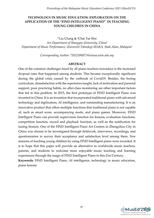## **TECHNOLOGY IN MUSIC EDUCATION: EXPLORATION ON THE APPLICATION OF THE "FIND INTELLIGENT PIANO" IN TEACHING YOUNG CHILDREN IN CHINA**

1\*Liu Chang & 2Chai Tse Wei *Art Department of Shangqiu University, China<sup>1</sup> Department of Music Performance, Universiti Teknologi MARA, Shah Alam, Malaysia<sup>2</sup>*

*Corresponding Author: [\\*2021380077@isiswa.uitm.edu.my](mailto:2021380077@isiswa.uitm.edu.my)*

#### **ABSTRACT**

One of the common challenges faced by all piano teachers nowadays is the increased dropout rates that happened among students. This became exceptionally significant during the global crisis caused by the outbreak of Covid19. Besides, the boring curriculum, dissatisfaction with the repertoires taught, lack of motivation and parental support, poor practicing habits, no after-class monitoring are other important factors that led to this problem. In 2015, the first prototype of FIND Intelligent Piano was invented in China. It is an invention that incorporated traditional piano with advanced technology and digitization, AI intelligence, and outstanding manufacturing. It is an innovative product that offers multiple functions that traditional piano is not capable of, such as smart score, accompanying mode, and piano games. Moreover, FIND Intelligent Piano can provide supervision function for lessons, evaluation functions, competition function, record and playback function, as well as the notification for tuning Session. One of the FIND Intelligent Piano Art Centers in Zhengzhou City in China was chosen to be investigated through fieldwork, interviews, recordings, and questionnaires to survey their acceptance and satisfaction level among them. Few sessions of teaching young children by using FIND Intelligent piano were recorded. It is to hope that this paper will provide an alternative to worldwide music teachers, parents, and students to welcome more enjoyable music teaching and learning experiences through the usage of FIND Intelligent Piano in this 21st Century.

**Keywords:** FIND Intelligent Piano, AI intelligence, technology in music education, piano lessons

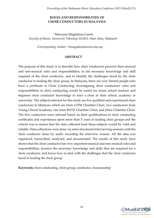## **ROLES AND RESPONSIBILITIES OF CHOIR CONDUCTORS IN MALAYSIA**

1\*Maryann Magdalena Linnis *Faculty of Music, Universiti Teknologi MARA, Shah Alam, Malaysia<sup>1</sup>*

*Corresponding Author: \*mmagdalena@uitm.edu.my*

#### **ABSTRACT**

The purpose of this study is to describe how choir conductors perceive their musical and non-musical roles and responsibilities, to list necessary knowledge and skill required of the choir conductor, and to identify the challenges faced by the choir conductor in leading the choir group. In Malaysia, there are very limited people who have a certificate in Choir Conducting. Investigating choir conductors' roles and responsibilities in choir conducting would be useful for music school teachers and beginner choir conductor knowledge to start a choir in their school, academy or university. The subjects selected for this study are five qualified and experienced choir conductors in Malaysia which are from UiTM Chamber Choir, two conductors from Young Choral Academy, one from BAVE Chamber Choir, and Johor Chamber Choir. The five conductors were selected based on their qualifications in choir conducting certificates and experiences spent more than 5 years in leading choir groups and the criteria was to ensure that the data collected from these subjects would be valid and reliable. Data collections were done via semi-structured interviewing sessions with the choir conductor alone by audio recording the interview session. All the data was organized, transcribed, analyzed, and documented. The results of this study have shown that the choir conductor has very important musical and non-musical roles and responsibilities, practice the necessary knowledge and skills that are required for a choir conductor, and know how to deal with the challenges that the choir conductor faced in leading the choir group.

**Keywords:** choir conducting, choir group, conductor, musicianship

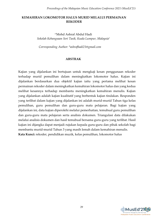## **KEMAHIRAN LOKOMOTOR HALUS MURID MELALUI PERMAINAN REKODER**

1\*Mohd Ashraf Abdul Hadi *Sekolah Kebangsaan Seri Tasik, Kuala Lumpur, Malaysia<sup>1</sup>*

*Corresponding Author: \*ashrafhadi21@gmail.com*

#### **ABSTRAK**

Kajian yang dijalankan ini bertujuan untuk mengkaji kesan penggunaan rekoder terhadap murid pemulihan dalam meningkatkan lokomotor halus. Kajian ini dijalankan berdasarkan dua objektif kajian iaitu yang pertama melihat kesan permainan rekoder dalam meningkatkan kemahiran lokomotor halus dan yang kedua melihat kesannya terhadap membantu meningkatkan kemahiran menulis. Kajian yang dijalankan adalah kajian kualitatif yang berbentuk kajian tindakan. Responden yang terlibat dalam kajian yang dijalankan ini adalah murid-murid Tahun tiga kelas pemulihan, guru pemulihan dan guru-guru mata pelajaran. Bagi kajian yang dijalankan ini, data kajian diperolehi melalui pemerhatian, temubual guru pemulihan dan guru-guru mata pelajaran serta analisis dokumen. Triangulasi data dilakukan melalui analisis dokumen dan hasil temubual bersama guru-guru yang terlibat. Hasil kajian ini dijangka dapat menjadi rujukan kepada guru-guru dan pihak sekolah bagi membantu murid-murid Tahun 3 yang masih lemah dalam kemahiran menulis. **Kata Kunci:** rekoder, pendidikan muzik, kelas pemulihan, lokomotor halus

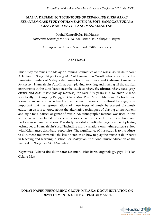## **MALAY DRUMMING TECHNIQUES OF** *REBANA IBU DIKIR BARAT KELANTAN***: CASE STUDY OF HAMZAH BIN YUSOFF, SANGGAR BUDAYA GENG WAK LONG GELANG MAS, KELANTAN**

1\*Mohd Kamrulbahri Bin Hussin *Universiti Teknologi MARA (UiTM), Shah Alam, Selangor Malaysia<sup>1</sup>*

*Corresponding Author: \*kamrulbahri60@uitm.edu.my*

## **ABSTRACT**

This study examines the Malay drumming techniques of the *rebana ibu* in dikir barat Kelantan or "*Gaya Pok Jah Gelang Mas*" of Hamzah bin Yusoff, who is one of the last remaining masters of Malay Kelantanese traditional music and instrument maker of *Rebana Ibu.* Hamzah bin Yusoff has been playing, teaching and making all the musical instruments in the dikir barat ensembel such as *rebana ibu* (drum), *rebana anak*, *gong, canang* and *buah romba* (Malay maracas) for over fifty-years in a Kelantan village, specifically in Kampung Banggol Gelang Mas, Pasir Mas in Malaysia. As traditional forms of music are considered to be the main carriers of cultural heritage, it is important that the representations of these types of music be present via music education as it is to know about the alternative techniques of playing an instrument and style for a particular genre of music. An ethnographic method was used in this study which included interview sessions, audio visual documentation and performance demonstrations. The study revealed a particular *gaya* or style of playing techniques of Hamzah bin Yusoff including multi variations on rhythm patterns suited with Kelantanese dikir barat repertoire. The significance of this study is to introduce, to document and transcribe the basic notation on how to play the music of dikir barat in teaching and learning in school for Malaysian traditional music education as the method or "*Gaya Pok Jah Gelang Mas"*.

**Keywords:** Rebana Ibu dikir barat Kelantan, dikir barat, organology, gaya Pok Jah Gelang Mas

## **NOBAT NAFIRI PERFORMING GROUP, MELAKA: DOCUMENTATION ON DEVELOPMENT & STYLE OF PERFORMANCE**

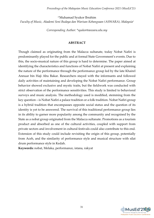1\*Muhamad Syukor Ibrahim *Faculty of Music, Akademi Seni Budaya dan Warisan Kebangsaan (ASWARA), Malaysia<sup>1</sup>*

*Corresponding Author: \*syukor@aswara.edu.my*

## **ABSTRACT**

Though claimed as originating from the Malacca sultanate, today Nobat Nafiri is predominantly played for the public and at formal State Government's events. Due to this, the socio-musical nature of this group is hard to determine. The paper aimed at identifying the characteristics and functions of Nobat Nafiri at present and explaining the nature of the performance through the performance group led by the late Khairel Annuar bin Haji Abu Bakar. Researchers stayed with the informants and followed daily activities of maintaining and developing the Nobat Nafiri performance. Group behavior showed exclusive and mystic traits, but the fieldwork was conducted with strict observation of the performance sensitivities. This study is limited to behavioral surveys and music analysis. The methodology used is modified, stemming from the key question – is Nobat Nafiri a palace tradition or a folk tradition. Nobat Nafiri group is a hybrid tradition that encompasses opposite social status and the question of its identity is yet to be answered. The survival of this traditional performance group lies in its ability to garner more popularity among the community and recognised by the State as a nobat group originated from the Malacca sultanate. Promotions as a tourism product and absorbed as one of the cultural activities, coupled with support from private sectors and involvement in cultural festivals could also contribute to this end. Extension of this study could include revisiting the origin of this group, potentially from Aceh, and the similarity of performance style and musical structure with silat drum performance style in Kedah.

**Keywords:** nobat, Melaka, performance, istana, rakyat

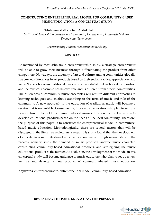#### **CONSTRUCTING ENTREPRENEURIAL MODEL FOR COMMUNITY-BASED MUSIC EDUCATION: A CONCEPTUAL STUDY**

1\*Muhammad Abi Sofian Abdul Halim *Institute of Tropical Biodiversity and Community Development, Universiti Malaysia Terengganu, Terengganu<sup>1</sup>*

*Corresponding Author: \*abi.sofian@umt.edu.my*

#### **ABSTRACT**

As mentioned by most scholars in entrepreneurship study, a strategic entrepreneur will be able to grow their business through differentiating the product from other competitors. Nowadays, the diversity of art and culture among communities globally has created differences in art products based on their social practice, appreciation, and value. Some scholars in traditional music study have stated that each local composition and the musical ensemble has its own role and is different from others' communities. The differences of community music ensembles will require different approaches to learning techniques and methods according to the form of music and role of the community. A new approach to the education of traditional music will become a service that is marketable. Consequently, those music educators who plan to set up a new venture in the field of community-based music education need to know how to develop educational products based on the needs of the local community. Therefore, the purpose of this paper is to construct the entrepreneurial model in communitybased music education. Methodologically, there are several factors that will be discussed in the literature review. As a result, this study found that the development of a model in community-based music education needs through several steps in the process, namely; study the demand of music products, analyse music character, constructing community-based educational products, and strategizing the music educational product to the market. As a solution, the development of the model in this conceptual study will become guidance to music educators who plan to set up a new venture and develop a new product of community-based music education.

**Keywords**: entrepreneurship, entrepreneurial model, community-based education

**REVEALING THE PAST, EDUCATING THE PRESENT:** 

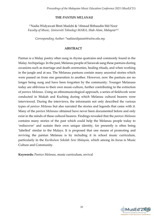## **THE** *PANTUN MELANAU*

1\*Nadia Widyawati Binti Madzhi & 2Ahmad Rithaudin Md Noor *Faculty of Music, Universiti Teknologi MARA, Shah Alam, Malaysia1&2*

*Corresponding Author: \*nadiawidyawati@uitm.edu.my*

#### **ABSTRACT**

Pantun is a Malay poetry often sung in rhyme quatrains and commonly found in the Malay Archipelago. In the past, Melanau people of Sarawak sang these pantuns during occasions such as marriage and death ceremonies, healing rituals, and when working in the jungle and at sea. The Melanau pantuns contain many ancestral stories which were passed on from one generation to another. However, now the pantuns are no longer being sung and have been forgotten by the community. Younger Melanaus today are oblivious to their own music-culture, further contributing to the extinction of *pantun Melanau*. Using an ethnomusicological approach, a series of fieldwork were conducted in Mukah and Kuching during which Melanau cultural bearers were interviewed. During the interviews, the informants not only described the various types of *pantun Melanau* but also narrated the stories and legends that came with it. Many of the *pantun Melanaus* obtained have never been documented before and only exist in the minds of these cultural bearers. Findings revealed that the *pantun Melanau* contains many stories of the past which could help the Melanau people today to 'rediscover' and sustain their own unique identity, for presently is often being 'labelled' similar to the Malays. It is proposed that one means of promoting and reviving the pantun Melanau is by including it in school music curriculum, particularly in the *Kurikulum Sekolah Seni Malaysia*, which among its focus is Music Culture and Community.

**Keywords:** *Pantun Melanau*, music curriculum, revival

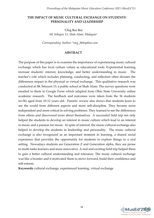## **THE IMPACT OF MUSIC CULTURAL EXCHANGE ON STUDENTS' PERSONALITY AND LEADERSHIP**

1\*Ong Bee Bee *SK Seksyen 13, Shah Alam, Malaysia<sup>1</sup>*

*Corresponding Author: \*ong\_bb@yahoo.com*

#### **ABSTRACT**

The purpose of this paper is to examine the importance of experiencing music cultural exchange which has local culture values as educational tools. Experiential learning increase students' interest, knowledge, and better understanding in music. The teacher's role which includes planning, conducting, and reflection often dictates the differences impact in the physical or virtual exchange. This qualitative research was conducted at SK Seksyen 13, a public school at Shah Alam. The survey questions were emailed to them in Google Form which adapted from Ohio State University online academic research. The feedback and outcomes were taken from the 36 students (n=36) aged from 10-12 years old. Parents' review also shows that students learn to see the world from different aspects and more self-discipline. They became more independent and more critical in solving problems. They learned to see the differences from others and discovered more about themselves. A successful field trip not only helped the students to develop an interest in music culture which lead to an interest in music and a passion for music. In spite of interest, the music cultural exchange also helped to develop the students in leadership and personality. The music cultural exchange is also recognized as an important moment in learning, a shared social experience that provides the opportunity for students to explore things in a real setting. Nowadays students are Generation Z and Generation alpha, they are prone to multi-tasks learners and more innovative. A real and exciting field trip helped them to gain a better cultural understanding and tolerance. The music cultural exchange was like a booster and it motivated them to move forward, build their confidence and self-esteem.

**Keywords:** cultural exchange, experienced learning, virtual exchange

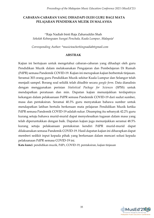## **CABARAN-CABARAN YANG DIHADAPI OLEH GURU BAGI MATA PELAJARAN PENDIDIKAN MUZIK DI MALAYSIA**

1\*Raja Nadiah binti Raja Zaharuddin Shah *Sekolah Kebangsaan Sungai Penchala, Kuala Lumpur, Malaysia<sup>1</sup>*

*Corresponding Author: \*musicteacherkingnadiah@gmail.com*

#### **ABSTRAK**

Kajian ini bertujuan untuk mengetahui cabaran-cabaran yang dihadapi oleh guru Pendidikan Muzik dalam melaksanakan Pengajaran dan Pembelajaran Di Rumah (PdPR) semasa Pandemik COVID-19. Kajian ini merupakan kajian berbentuk tinjauan. Seramai 303 orang guru Pendidikan Muzik sekitar Kuala Lumpur dan Selangor telah menjadi sampel. Borang soal selidik telah ditadbir secara *google form*. Data dianalisis dengan menggunakan perisian *Statistical Package for Sciences* (SPSS) untuk mendapatkan peratusan dan min. Dapatan kajian menunjukkan terdapatnya kekangan dalam pelaksanaan PdPR semasa Pandemik COVID-19 dari sudut sumber, masa dan pentaksiran. Seramai 40.3% guru menyatakan bahawa sumber untuk mendapatkan latihan bertulis berkenaan mata pelajaran Pendidikan Muzik ketika PdPR semasa Pandemik COVID-19 adalah sukar. Disamping itu sebanyak 42.2% guru kurang setuju bahawa murid-murid dapat menyelesaikan tugasan dalam masa yang telah diperuntukkan dengan baik. Dapatan kajian juga menunjukkan seramai 48.5% kurang setuju pelaksanaan pentaksiran kendiri PdPR murid-murid dapat dilaksanakan semasa Pandemik COVID-19. Hasil dapatan kajian ini diharapkan dapat memberi sedikit input kepada pihak yang berkenaan dalam mencari solusi kepada pelaksanaan PdPR semasa COVID-19 ini.

**Kata kunci**: pendidikan muzik, PdPr, COVID-19, pentaksiran, kajian tinjauan

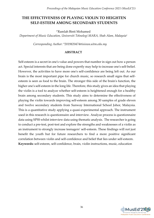# **THE EFFECTIVENESS OF PLAYING VIOLIN TO HEIGHTEN SELF-ESTEEM AMONG SECONDARY STUDENTS**

1\*Ramlah Binti Mohamed

*Department of Music Education, Universiti Teknologi MARA, Shah Alam, Malaysia<sup>1</sup>*

*Corresponding Author: \*2019820474@isiswa.uitm.edu.my*

## **ABSTRACT**

Self-esteem is a secret in one's value and powers that number in sign out how a person act. Special interests that are being done expertly may help to increase one's self-belief. However, the activities to have more one's self-confidence are being left out. As our brain is the most important pipe for church music, so research small signs that selfesteem is seen as food to the brain. The stronger this side of the brain's function, the higher one's self-esteem in the long life. Therefore, this study gives an idea that playing the violin is a tool to analyze whether self-esteem is heightened enough for a healthy brain among secondary students. This study aims to determine the effectiveness of playing the violin towards improving self-esteem among 30 samples of grade eleven and twelve secondary students from Sunway International School Johor, Malaysia. This is a quantitative study applying a quasi-experimental approach. The instrument used in this research is questionnaire and interview. Analyze process is questionnaire data using SPSS whilst interview data using thematic analysis. The researcher is going to conduct a pre-test, post-test and explore the strengths and weaknesses of a violin as an instrument to strongly increase teenagers' self-esteem. These findings will not just benefit the youth but for future researchers to find a more positive significant correlation between violin and self-confidence and belief that lies under self-esteem. **Keywords:** self-esteem, self-confidence, brain, violin instructions, music, education

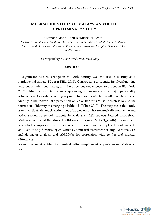# **MUSICAL IDENTITIES OF MALAYSIAN YOUTH: A PRELIMINARY STUDY**

1\*Ramona Mohd. Tahir & <sup>2</sup>Michel Hogenes

*Department of Music Education, Universiti Teknologi MARA, Shah Alam, Malaysia<sup>1</sup> Department of Teacher Education, The Hague University of Applied Sciences, The Netherlands<sup>2</sup>*

*Corresponding Author: \*rtahirr@uitm.edu.my*

#### **ABSTRACT**

A significant cultural change in the 20th century was the rise of identity as a fundamental change (Põder & Kiilu, 2015). Constructing an identity involves knowing who one is, what one values, and the directions one chooses to pursue in life (Berk, 2017). Identity is an important step during adolescence and a major personality achievement towards becoming a productive and contented adult. While musical identity is the individual's perception of his or her musical self which is key to the formation of identity in emerging adulthood (Talbot, 2013). The purpose of this study is to investigate the musical identities of adolescents who are musically non-active and active secondary school students in Malaysia. 282 subjects located throughout Malaysia completed the Musical Self-Concept Inquiry (MUSCI\_Youth) measurement tool which comprises 12 subscales, whereby 8 scales were completed by all subjects and 4 scales only for the subjects who play a musical instrument or sing. Data analyses include factor analysis and ANCOVA for correlation with gender and musical differences.

**Keywords:** musical identity, musical self-concept, musical preferences, Malaysian youth

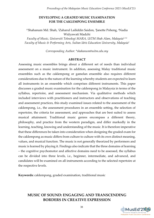#### **DEVELOPING A GRADED MUSIC EXAMINATION FOR THE CAKLEMPONG ENSEMBLE**

<sup>1</sup>\*Shahanum Md. Shah, <sup>2</sup>Zaharul Lailiddin Saidon, <sup>3</sup>Janette Poheng, <sup>4</sup>Nadia Widyawati Madzhi

*Faculty of Music, Universiti Teknologi MARA, UiTM Shah Alam, Malaysia1.3.4 Faculty of Music & Performing Arts, Sultan Idris Education University, Malaysia<sup>2</sup>*

*Corresponding Author: \*shahanum@uitm.edu.my*

#### **ABSTRACT**

Assessing music ensembles brings about a different set of needs than individual assessment on a music instrument. In addition, assessing Malay traditional music ensembles such as the caklempong or gamelan ensemble also requires different considerations due to the nature of the learning whereby students are expected to learn all instruments in an ensemble which comprises different instruments. This paper discusses a graded music examination for the caklempong in Malaysia in terms of the syllabus, repertoire, and assessment mechanism. Via qualitative methods which included interviews with practitioners and instructors and observations of teaching and assessment practices, this study examined issues related to the assessment of the caklempong, i.e., the assessment procedures in an ensemble setting, the selection of repertoire, the criteria for assessment, and approaches that are best suited to assess musical attainment. Traditional music genres encompass a different theory, philosophy, and practice from the western paradigm, and differ markedly in the learning, teaching, knowing and understanding of the music. It is therefore imperative that these differences be taken into consideration when designing the graded exam for the caklempong as music differs from culture to culture with its own distinct meaning, values, and musical function. The music is not generally theorized by performers and music is learned by playing it. Findings also indicate that the three domains of learning – the cognitive psychomotor and affective domains need to be assessed, the syllabus can be divided into three levels, i.e., beginner, intermediate, and advanced, and candidates will be examined on all instruments according to the selected repertoire at the respective levels.

**Keywords:** caklempong, graded examination, traditional music

# **MUSIC OF SOUND: ENGAGING AND TRANSCENDING BORDERS IN CREATIVE EXPRESSION**

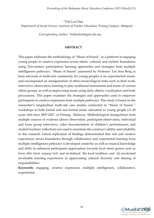1\*Toh Lai Chee *Department of Social Science, Institute of Teacher Education, Penang Campus, Malaysia<sup>1</sup>*

*Corresponding Author: \*tohlaichee@ipgm.edu.my*

#### **ABSTRACT**

This paper addresses the methodology of "Music of Sound '' as a platform in engaging young people in creative expression across ethnic, cultural, and stylistic boundaries using 21st-century participatory learning approaches and strategies from multiple intelligences pathways. "Music of Sound'' pioneered by Professor Tan Sooi Beng (a keen advocate of multi-arts community for young people) is an experimental music, and encompassed an amalgamation of ethno-musicological tasks such as field work, interviews, observation, learning to play traditional instruments and music of various ethnic groups, as well as improvising music using daily objects, vocalization and body percussions. This paper examines the strategies and approaches used to empower participants in creative expression from multiple pathways. This study is based on the researcher's longitudinal multi-site case studies conducted in "Music of Sound '' workshops in both formal and non-formal music education to young people (11-20 years old) since 2007-2021 in Penang, Malaysia. Methodological triangulation from multiple sources of evidence (direct observation, participant-observation, individual and focus group interviews, video documentation of children's performances, and student teachers' reflection) was used to maximise the construct validity and reliability in this research. Literal replication of findings demonstrated that rich and creative experiences across boundaries through collaborative and experiential learning from multiple intelligences pathways i) developed creativity as well as musical knowledge and skills ii) enhanced participants appreciation towards local street genres such as *boria*, *dikir barat*, *wayang kulit* and revitalized the local tradition, and iii) inculcated invaluable learning experiences in appreciating cultural diversity and sharing of responsibilities.

**Keywords:** engaging, creative expression, multiple intelligences, collaborative, experiential

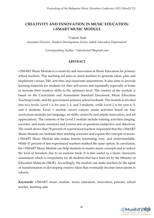# **CREATIVITY AND INNOVATION IN MUSIC EDUCATION: i-SMART MUSIC MODULE**

1\*Valerie Sinti

*Assistant Director, Student Development Sector, Sabah Education Department<sup>1</sup>*

*Corresponding Author: \*valeriesinti79@gmail.com*

#### **ABSTRACT**

i-SMART Music Module is a creativity and innovation in Music Education for primary school teachers. This teaching aid aims to assist teachers to generate ideas, plan and implement various T&L activities and classroom assessments. It also aims to provide learning materials for students for their self-access and repeatedly especially at home to increase their mastery skills to the optimum level. The content of the module is based on the Curriculum and Assessment Standard Document, Music Education Teaching Guide, and the government primary school textbook. The module is divided into two levels. Level 1 is for year 1, 2, and 3 students, while Level 2 is for year 4, 5, and 6 students. Level 1 module covers various music activities based on four curriculum modules (art language, art skills, creativity and artistic innovation, and art appreciation). The contents of the Level 2 module include training activities (singing, recorder, and music notation) and various sets of questions (subjective and objective). The result shows that 78 percent of experienced teachers responded that the i-SMART Music Module can facilitate their teaching activities and explain the concepts of music. i-SMART Music Module also makes lessons interesting, easy, and understandable. While 41 percent of less experienced teachers marked the same option. In conclusion, the i-SMART Music Module can help students to master music concepts and to reduce the level of boredom due to no exercise book. It is also useful as a music classroom assessment which is compulsory for all students that have been set by the Ministry of Education Malaysia (MOE). Accordingly, the module can make teachers be the agent of transformation in developing creative ideas that eventually become innovations in schools.

**Keywords**: i-SMART music module, music education, innovation, primary school teacher, teaching aids

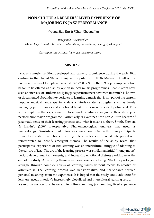# **NON-CULTURAL BEARERS' LIVED EXPERIENCE OF MAJORING IN JAZZ PERFORMANCE**

<sup>1\*</sup>Wong Siao Ern & <sup>2</sup>Chan Cheong Jan

*Independent Researcher<sup>1</sup> Music Department, Universiti Putra Malaysia, Serdang Selangor, Malaysia<sup>2</sup>*

*Corresponding Author: \*wongsiaoern@gmail.com*

#### **ABSTRACT**

Jazz, as a music tradition developed and came to prominence during the early 20th century in the United States. It enjoyed popularity in 1960s Malaya but fell out of favour and was seldom played around 1970-2000s. Since the 1990s, jazz improvisation began to be offered as a study option in local music programmes. Recent years have seen an increase of students studying jazz performance; however, not much is known or documented about their experience of learning a music that is not part of the current popular musical landscape in Malaysia. Study-related struggles, such as barely managing performances and emotional breakdowns were repeatedly observed. This study explores the experience of local undergraduates in going through a jazz performance major programme. Particularly, it examines how non-culture bearers of jazz made sense of their learning process, and what it means to them. Smith, Flowers & Larkin's (2009) Interpretative Phenomenological Analysis was used as methodology. Semi-structured interviews were conducted with three participants from a local institution of higher learning. Interview texts were coded, interpreted, and reinterpreted to identify emergent themes. The results of the study reveal that participants' experience of jazz learning was an intercultural struggle of adapting to the culture of jazz. The arc of the learning process was similar: an initial "honeymoon" period, developmental moments, and increasing emotional distress peaking near the end of the study. A recurring theme was the experience of being "Stuck": a prolonged struggle through complex arrays of learning issues without means to resolve or articulate it. The learning process was transformative, and participants derived personal meanings from the experience. It is hoped that the study could advocate for learners' needs in today's increasingly globalized and intercultural learning setup. **Keywords:** non-cultural bearers, intercultural learning, jazz learning, lived experience

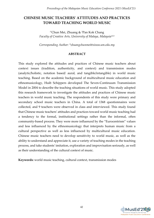# **CHINESE MUSIC TEACHERS' ATTITUDES AND PRACTICES TOWARD TEACHING WORLD MUSIC**

1\*Chun Mei, Zhuang & <sup>2</sup>Pan Kok Chang *Faculty of Creative Arts, University of Malaya, Malaysia1&2*

*Corresponding Author: [\\*zhuangchunmei@siswa.um.edu.my](mailto:zhuangchunmei@siswa.um.edu.my)*

### **ABSTRACT**

This study explored the attitudes and practices of Chinese music teachers about context issues (tradition, authenticity, and context) and transmission modes (analytic/holistic, notation based/ aural, and tangible/intangible) in world music teaching. Based on the academic background of multicultural music education and ethnomusicology, Huib Schippers developed The Seven-Continuum Transmission Model in 2004 to describe the teaching situations of world music. This study adopted this research framework to investigate the attitudes and practices of Chinese music teachers in world music teaching. The respondents of this study were primary and secondary school music teachers in China. A total of 1368 questionnaires were collected, and 9 teachers were observed in class and interviewed. This study found that Chinese music teachers' attitudes and practices toward world music teaching had a tendency to the formal, institutional settings rather than the informal, often community-based process. They were more influenced by the "Eurocentrism" values and less influenced by the ethnomusicology that interprets human music from a cultural perspective as well as less influenced by multicultural music education. Chinese music teachers need to develop sensitivity to world music, as well as the ability to understand and appreciate it, use a variety of teaching modes in the teaching process, and take students' imitation, exploration and improvisation seriously, as well as their understanding of the cultural context of music.

**Keywords:** world music teaching, cultural context, transmission modes

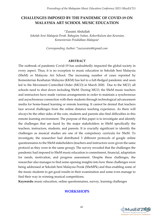# **CHALLENGES IMPOSED BY THE PANDEMIC OF COVID-19 ON MALAYSIA ART SCHOOL MUSIC EDUCATION**

1\*Zuraini Abdullah

*Sekolah Seni Malaysia Perak. Bahagian Sukan, Kokurikulum dan Kesenian, Kementerian Pendidikan Malaysia<sup>1</sup>*

*Corresponding Author: \*zuezuraini4@gmail.com*

#### **ABSTRACT**

The outbreak of pandemic Covid-19 has undoubtedly impacted the global society in every aspect. Thus, it is no exception to music education in Sekolah Seni Malaysia (SSeM) or Malaysia Art School. The increasing number of cases reported by Kementerian Kesihatan Malaysia (KKM) has led to a full-fledged pandemic and soon led to the Movement Controlled Order (MCO) in March 2020. Due to the MCO, all schools need to shut down including SSeM. During MCO, the SSeM music teachers and instructors have made various arrangements in order to maintain a synchronous and asynchronous connection with their students through technological advancement media for home-based learning or remote learning. It cannot be denied that teachers face several challenges from the online distance teaching experience. As there will always be the other sides of the coin, students and parents also find difficulties in this remote learning environment. The purpose of this paper is to investigate and identify the challenges that are faced by the major stakeholders in SSeM specifically the teachers, instructors, students, and parents. It is crucially significant to identify the challenges as musical studies are one of the compulsory curricula for SSeM. To investigate, the researcher had distributed 3 different protocols of google online questionnaires to the SSeM stakeholders (teachers and instructors were given the same protocol as they were in the same group). The survey revealed that the challenges the pandemic had imposed to SSeM music education is commitment, financial, adaptation for needs, motivation, and progress assessment. Despite these challenges, the researcher also manages to find some opening insights into how these challenges were being addressed at Sekolah Seni Malaysia Perak (SSeMPk) and thus enabling some of the music students to get good results in their examination and some even manage to find their way in winning musical competitions.

**Keywords:** music education, online questionnaires, survey, learning challenges

# **WORKSHOPS**

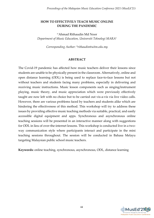## **HOW TO EFFECTIVELY TEACH MUSIC ONLINE DURING THE PANDEMIC**

1\*Ahmad Rithaudin Md Noor *Department of Music Education, Universiti Teknologi MARA<sup>1</sup>*

*Corresponding Author: \*rithaudin@uitm.edu.my*

#### **ABSTRACT**

The Covid-19 pandemic has affected how music teachers deliver their lessons since students are unable to be physically present in the classroom. Alternatively, online and open distance learning (ODL) is being used to replace face-to-face lessons but not without teachers and students facing many problems, especially in delivering and receiving music instructions. Music lesson components such as singing/instrument playing, music theory, and music appreciation which were previously effectively taught are now left with no choice but to be carried out vis-a-vis via live video calls. However, there are various problems faced by teachers and students alike which are hindering the effectiveness of this method. This workshop will try to address these issues by providing effective music teaching methods via suitable, practical, and easily accessible digital equipment and apps. Synchronous and asynchronous online teaching sessions will be presented in an interactive manner along with suggestions for ODL in lieu of over-the-internet lessons. This workshop is conducted live in a twoway communication style where participants interact and participate in the mini teaching sessions throughout. The session will be conducted in Bahasa Melayu targeting Malaysian public school music teachers.

**Keywords:** online teaching, synchronous, asynchronous, ODL, distance learning

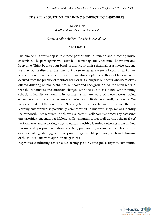#### **IT'S ALL ABOUT TIME: TRAINING & DIRECTING ENSEMBLES**

1\*Kevin Field *Bentley Music Academy Malaysia<sup>1</sup>*

*Corresponding Author: \*field.kevin@gmail.com*

## **ABSTRACT**

The aim of this workshop is to expose participants to training and directing music ensembles. The participants will learn how to manage time, beat time, know time and keep time. Think back to your band, orchestra, or choir rehearsals as a novice student; we may not realise it at the time, but those rehearsals were a forum in which we learned more than just about music, for we also adopted a plethora of lifelong skills derived from the practice of meritocracy working alongside our peers who themselves offered differing opinions, abilities, outlooks and backgrounds. All too often we find that the conductors and directors charged with the duties associated with running school, university or community orchestras are unaware of these factors, being encumbered with a lack of resource, experience and likely, as a result, confidence. We may also find that the core duty of 'keeping time' is relegated in priority such that the learning environment is potentially compromised. In this workshop, we will identify the responsibilities required to achieve a successful collaborative process by assessing our priorities; engendering lifelong skills; communicating well during rehearsal *and* performance; and exploring ways to nurture positive learning outcomes from limited resources. Appropriate repertoire selection, preparation, research and context will be discussed alongside suggestions on promoting ensemble precision, pitch and phrasing of the musical line with appropriate gestures.

**Keywords:** conducting, rehearsals, coaching, gesture, time, pulse, rhythm, community

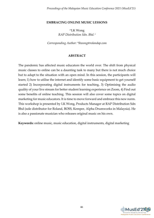#### **EMBRACING ONLINE MUSIC LESSONS**

1\*LK Wong *RAP Distribution Sdn. Bhd. <sup>1</sup>*

*Corresponding Author: \*lkwong@rolandap.com*

#### **ABSTRACT**

The pandemic has affected music educators the world over. The shift from physical music classes to online can be a daunting task to many but there is not much choice but to adapt to the situation with an open mind. In this session, the participants will learn; 1) how to utilise the internet and identify some basic equipment to get yourself started 2) Incorporating digital instruments for teaching, 3) Optimising the audio quality of your live stream for better student learning experience on Zoom, 4) Find out some benefits of online teaching. This session will also cover some topics on digital marketing for music educators. It is time to move forward and embrace this new norm. This workshop is presented by LK Wong, Products Manager at RAP Distribution Sdn Bhd (sole distributor for Roland, BOSS, Kemper, Alpha Drumworks in Malaysia). He is also a passionate musician who releases original music on his own.

**Keywords:** online music, music education, digital instruments, digital marketing

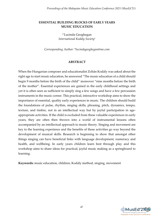## **ESSENTIAL BUILDING BLOCKS OF EARLY YEARS MUSIC EDUCATION**

1\*Lucinda Geoghegan *International Kodály Society<sup>1</sup>*

*Corresponding Author: \*lucindageoghegan@me.com*

#### **ABSTRACT**

When the Hungarian composer and educationalist Zoltán Kodály was asked about the right age to start music education, he answered "The music education of a child should begin 9 months before the birth of the child" moreover "nine months before the birth of the mother". Essential experiences are gained in the early childhood settings and yet it is often seen as sufficient to simply sing a few songs and have a few percussion instruments in the music corner. This practical, interactive workshop aims to show the importance of essential, quality early experiences in music. The children should build the foundations of pulse, rhythm, singing skills, phrasing, pitch, dynamics, tempo, texture, and timbre, not in an intellectual way but by joyful participation in ageappropriate activities. If the child is excluded from these valuable experiences in early years, they are often then thrown into a world of instrumental lessons often accompanied by an intellectual approach to music theory. Singing and movement are key to the learning experience and the benefits of these activities go way beyond the development of musical skills. Research is beginning to show that amongst other things singing can have beneficial links with language development, numeracy and health, and wellbeing. In early years children learn best through play and this workshop aims to share ideas for practical, joyful music making as a springboard to learning.

**Keywords:** music education, children, Kodály method, singing, movement

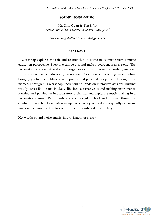## **SOUND-NOISE-MUSIC**

1\*Ng Chor Guan & <sup>2</sup>Tan E-Jan *Toccata Studio (The Creative Incubator), Malaysia1.2*

*Corresponding Author: \*guan1881@gmail.com*

## **ABSTRACT**

A workshop explores the role and relationship of sound-noise-music from a music education perspective. Everyone can be a sound maker, everyone makes noise. The responsibility of a music maker is to organise sound and noise in an orderly manner. In the process of music education, it is necessary to focus on entertaining oneself before bringing joy to others. Music can be private and personal, or open and belong to the masses. Through this workshop, there will be hands-on interactive sessions, turning readily accessible items in daily life into alternative sound-making instruments, forming and playing an improvisatory orchestra, and exploring music-making in a responsive manner. Participants are encouraged to lead and conduct through a creative approach to formulate a group participatory method, consequently exploring music as a communicative tool and further expanding its vocabulary.

**Keywords:** sound, noise, music, improvisatory orchestra

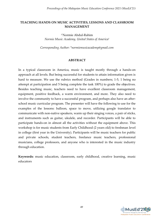## **TEACHING HANDS ON MUSIC ACTIVITIES, LESSONS AND CLASSROOM MANAGEMENT**

1\*Normie Abdul-Rahim *Normie Music Academy, United States of America<sup>1</sup>*

*Corresponding Author: \*normiemusicacademy@gmail.com*

#### **ABSTRACT**

In a typical classroom in America, music is taught mostly through a hands-on approach at all levels. But being successful for students to attain information given is hard to measure. We use the rubrics method (Grades in numbers; 1-5, 1 being no attempt at participation and 5 being complete the task 100%) to grade the objectives. Besides teaching music, teachers need to have excellent classroom management, equipment, positive feedback, a warm environment, and more. They also need to involve the community to have a successful program, and perhaps also have an afterschool music curricular program. The presenter will have the following to use for the examples of the lessons: balloon, space to move, utilizing google translator to communicate with non-native speakers, warm up their singing voices, a pair of sticks, and instruments such as guitar, ukulele, and recorder. Participants will be able to participate hands-on in almost all the activities without the equipment above. This workshop is for music students from Early Childhood (2 years old) to freshman level in college (first year in the University). Participants will be music teachers for public and private schools, student teachers, freelance music teachers, professional musicians, college professors, and anyone who is interested in the music industry through education.

**Keywords:** music education, classroom, early childhood, creative learning, music educators

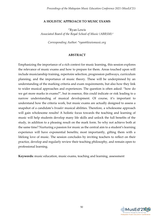#### **A HOLISTIC APPROACH TO MUSIC EXAMS**

1\*Ryan Lewis *Associated Board of the Royal School of Music (ABRSM) <sup>1</sup>*

*Corresponding Author: \*ryan@lewismusic.org*

#### **ABSTRACT**

Emphasizing the importance of a rich context for music learning, this session explores the relevance of music exams and how to prepare for them. Areas touched upon will include musicianship training, repertoire selection, progression pathways, curriculum planning, and the importance of music theory. These will be underpinned by an understanding of the marking criteria and exam requirements, but also how they link to wider musical approaches and experiences. The question is often asked: "how do we get more marks in exams?", but in essence, this could indicate or risk leading to a narrow understanding of musical development. Of course, it's important to understand how the criteria work, but music exams are actually designed to assess a snapshot of a candidate's *broader* musical abilities. Therefore, a wholesome approach will gain wholesome results! A holistic focus towards the teaching and learning of music will help students develop many life skills and unlock the full benefits of the study, in addition to a pleasing result on the mark form. So why not achieve both at the same time? Nurturing a passion for music as the central aim to a student's learning experience will have exponential benefits; most importantly, gifting them with a lifelong love of music. The session concludes by inviting teachers to reflect on their practice, develop and regularly review their teaching philosophy, and remain open to professional learning.

**Keywords:** music education, music exams, teaching and learning, assessment

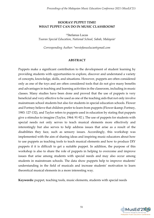## **HOORAY! PUPPET TIME! WHAT PUPPET CAN DO IN MUSIC CLASSROOM?**

1\*Stefanus Lucas *Tuaran Special Education, National School, Sabah, Malaysia<sup>1</sup>*

*Corresponding Author: \*mrstefanuslucas@gmail.com*

#### **ABSTRACT**

Puppets make a significant contribution to the development of student learning by providing students with opportunities to explore, discover and understand a variety of concepts, knowledge, skills, and situations. However, puppets are often considered only as one of the toys and are often considered tools that do not give many benefits and advantages in teaching and learning activities in the classroom, including in music classes. Many studies have been done and proved that the use of puppets is very beneficial and very effective to be used as one of the teaching aids that not only involve mainstream school students but also for students in special education schools. Flower and Fortney believe that children prefer to learn from puppets (Flower & amp; Fortney, 1983: 127-132), and Taylor refers to puppets used in education by stating that puppets give a stimulus to imagine (Taylor, 1964: 91-92 ). The use of puppets for students with special needs not only serves to teach musical elements more effectively and interestingly but also serves to help address issues that arise as a result of the disabilities they face, such as sensory issues. Accordingly, this workshop was implemented with the aim of sharing ideas and inspiring music educators about how to use puppets as teaching tools to teach musical elements and how to produce DIY puppets if it is difficult to get a suitable puppet. In addition, the purpose of this workshop is also to share the role of puppets in helping to overcome and improve issues that arise among students with special needs and may also occur among students in mainstream schools. The data show puppets help to improve students' understanding in the field of musicals and increase students' motivation to learn theoretical musical elements in a more interesting way.

**Keywords:** puppet, teaching tools, music elements, students with special needs

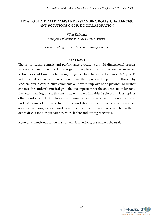## **HOW TO BE A TEAM PLAYER: UNDERSTANDING ROLES, CHALLENGES, AND SOLUTIONS ON MUSIC COLLABORATION**

1\*Tan Ka Ming *Malaysian Philharmonic Orchestra, Malaysia<sup>1</sup>*

*Corresponding Author: \*kambing1987@yahoo.com*

#### **ABSTRACT**

The art of teaching music and performance practice is a multi-dimensional process whereby an assortment of knowledge on the piece of music, as well as rehearsal techniques could usefully be brought together to enhance performance. A "typical" instrumental lesson is when students play their prepared repertoire followed by teachers giving constructive comments on how to improve one's playing. To further enhance the student's musical growth, it is important for the students to understand the accompanying music that interacts with their individual solo parts. This topic is often overlooked during lessons and usually results in a lack of overall musical understanding of the repertoire. This workshop will address how students can approach working with a pianist as well as other instruments in an ensemble, with indepth discussions on preparatory work before and during rehearsals.

**Keywords:** music education, instrumental, repertoire, ensemble, rehearsals

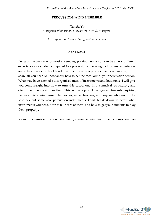#### **PERCUSSION: WIND ENSEMBLE**

1\*Tan Su Yin *Malaysian Philharmonic Orchestra (MPO), Malaysia<sup>1</sup>*

*Corresponding Author: [\\*oto\\_per@hotmail.com](mailto:oto_per@hotmail.com)*

## **ABSTRACT**

Being at the back row of most ensembles, playing percussion can be a very different experience as a student compared to a professional. Looking back on my experiences and education as a school band drummer, now as a professional percussionist, I will share all you need to know about how to get the most out of your percussion section. What may have seemed a disorganised mess of instruments and loud noise, I will give you some insight into how to turn this cacophony into a musical, structured, and disciplined percussion section. This workshop will be geared towards aspiring percussionists, wind ensemble coaches, music teachers, and anyone who would like to check out some cool percussion instruments! I will break down in detail what instruments you need, how to take care of them, and how to get your students to play them properly.

**Keywords**: music education, percussion, ensemble, wind instruments, music teachers

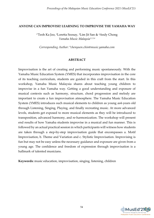#### **ANYONE CAN IMPROVISE! LEARNING TO IMPROVISE THE YAMAHA WAY**

1\*Teoh Ka Joo, <sup>2</sup>Loretta Soosay, <sup>3</sup>Lim Jit San & <sup>4</sup>Andy Chong *Yamaha Music Malaysia1,2,3,4*

*Corresponding Author: \*chenyuen.chin@music.yamaha.com*

#### **ABSTRACT**

Improvisation is the art of creating and performing music spontaneously. With the Yamaha Music Education System (YMES) that incorporates improvisation in the core of its teaching curriculum, students are guided in this craft from the start. In this workshop, Yamaha Music Malaysia shares about teaching young children to improvise in a fun Yamaha way. Getting a good understanding and exposure of musical contexts such as harmony, structure, chord progression and melody are important to create a fun improvisation atmosphere. The Yamaha Music Education System (YMES) introduces such musical elements to children as young as4-years old through Listening, Singing, Playing, and finally recreating music. At more advanced levels, students get exposed to more musical elements as they will be introduced to transposition, advanced harmony, and re-harmonization. The workshop will present end results of how Yamaha students improvise in a musical and fun manner. This is followed by an actual practical session in which participants will witness how students are taken through a step-by-step improvisation guide that encompasses a. Motif Improvisation, b. Theme and Variation and c. Stylistic Improvisation. Improvising is fun but may not be easy unless the necessary guidance and exposure are given from a young age. The confidence and freedom of expression through improvisation is a hallmark of talented musicians.

**Keywords:** music education, improvisation, singing, listening, children

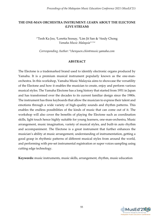## **THE ONE-MAN ORCHESTRA INSTRUMENT: LEARN ABOUT THE ELECTONE (LIVE STREAM)**

<sup>1</sup>\*Teoh Ka Joo, <sup>2</sup>Loretta Soosay, <sup>3</sup>Lim Jit San & <sup>4</sup>Andy Chong *Yamaha Music Malaysia1.2.3.4*

*Corresponding Author: \*chenyuen.chin@music.yamaha.com*

#### **ABSTRACT**

The Electone is a trademarked brand used to identify electronic organs produced by Yamaha. It is a premium musical instrument popularly known as the one-manorchestra. In this workshop, Yamaha Music Malaysia aims to showcase the versatility of the Electone and how it enables the musician to create, enjoy and perform various musical styles. The Yamaha Electone has a long history that started from 1951 in Japan and has transformed over the decades to its current familiar design since the 1980s. The instrument has three keyboards that allow the musician to express their talent and emotions through a wide variety of high-quality sounds and rhythm patterns. This enables the endless possibilities of the kinds of music that can come out of it. The workshop will also cover the benefits of playing the Electone such as coordination skills, light touch hence highly suitable for young learners, one-man-orchestra, Music arrangement, music imagination, variety of musical styles, and built-in auto rhythm and accompaniment. The Electone is a great instrument that further enhances the musician's ability at music arrangement, understanding of instrumentation, getting a good grasp in rhythmic patterns of different musical styles from around the world, and performing with pre-set instrumental registration or super voices sampling using cutting edge technology.

**Keywords:** music instruments, music skills, arrangement, rhythm, music education

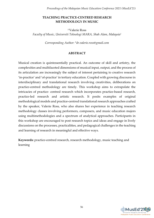### **TEACHING PRACTICE-CENTRED RESEARCH METHODOLOGY IN MUSIC**

1\*Valerie Ross *Faculty of Music, Universiti Teknologi MARA, Shah Alam, Malaysia<sup>1</sup>*

*Corresponding Author: \*dr.valerie.ross@gmail.com*

## **ABSTRACT**

Musical creation is quintessentially practical. An outcome of skill and artistry, the complexities and multifaceted dimensions of musical input, output, and the process of its articulation are increasingly the subject of interest pertaining to creative research 'in-practice' and 'of-practice' in tertiary education. Coupled with growing discourse in interdisciplinary and translational research involving creativities, deliberations on practice-centred methodology are timely. This workshop aims to extrapolate the intricacies of practice- centred research which incorporates practice-based research, practice-led research and artistic research. It posits examples of original methodological models and practice-centred translational research approaches crafted by the speaker, Valerie Ross, who also shares her experience in teaching research methodology classes involving performers, composers, and music education majors using multimethodologies and a spectrum of analytical approaches. Participants in this workshop are encouraged to post research topics and ideas and engage in lively discussions on the processes, practicalities, and pedagogical challenges in the teaching and learning of research in meaningful and effective ways.

**Keywords:** practice-centred research, research methodology, music teaching and learning

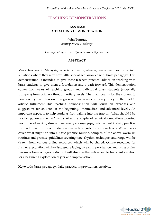# **TEACHING DEMONSTRATIONS**

## **BRASS BASICS A TEACHING DEMONSTRATION**

1\*John Bourque *Bentley Music Academy 1*

*Corresponding Author: \*johndbourque@yahoo.com*

## **ABSTRACT**

Music teachers in Malaysia, especially fresh graduates, are sometimes thrust into situations where they may have little specialized knowledge of brass pedagogy. This demonstration is intended to give those teachers practical advice on working with brass students to give them a foundation and a path forward. This demonstration comes from years of teaching groups and individual brass students (especially trumpets) from primary through tertiary levels. The main goal is for the student to have agency over their own progress and awareness of their journey on the road to artistic fulfillment. This teaching demonstration will touch on exercises and suggestions for students at the beginning, intermediate and advanced levels. An important aspect is to help students from falling into the trap of, "what should I be practicing, how and why?" I will start with examples of technical foundations covering mouthpiece buzzing, slurs and necessary scales/arpeggios to be used in daily practice. I will address how these fundamentals can be adjusted to various levels. We will also cover what might go into a basic practice routine. Samples of the above warm-up routines and practice guidelines covering tone, rhythm, technique, and range will be drawn from various online resources which will be shared. Online resources for further exploration will be discussed: playing by ear, improvisation, and using online resources to encourage creativity. I will also give theoretical and technical information for a beginning exploration of jazz and improvisation.

**Keywords:** brass pedagogy, daily practice, improvisation, creativity

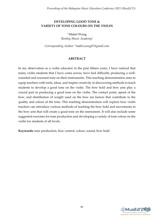## **DEVELOPING GOOD TONE & VARIETY OF TONE COLOURS ON THE VIOLIN**

1\*Mabel Wong *Bentley Music Academy<sup>1</sup>*

*Corresponding Author: \*mabel.wong87@gmail.com*

## **ABSTRACT**

In my observation as a violin educator in the past fifteen years, I have noticed that many violin students that I have come across, have had difficulty producing a wellrounded and resonant tone on their instruments. This teaching demonstration aims to equip teachers with tools, ideas, and inspire creativity in discovering methods to teach students to develop a good tone on the violin. The bow hold and bow arm play a crucial part in producing a good tone on the violin. The contact point, speed of the bow, and distribution of weight used on the bow are factors that contribute to the quality and colour of the tone. This teaching demonstration will explore how violin teachers can introduce various methods of teaching the bow hold and movements in the bow arm that will create a good tone on the instrument. It will also include some suggested exercises for tone production and developing a variety of tone colour on the violin for students of all levels.

**Keywords:** tone production, bow control, colour, sound, bow hold

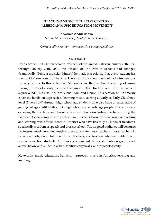## **TEACHING MUSIC IN THE 21ST CENTURY (AMERICAN MUSIC EDUCATION MOVEMENT)**

1\*Normie Abdul-Rahim *Normie Music Academy, United States of America<sup>1</sup>*

*Corresponding Author: \*normiemusicacademy@gmail.com*

#### **ABSTRACT**

Ever since Mr. Bill Clinton became President of the United States on January 20th, 1993 through January 20th, 2001, the outlook of The Arts in Schools had changed dramatically. Being a musician himself, he made it a priority that every student has the right to be exposed to The Arts. The Music Education in school had a tremendous turnaround due to this statement. No longer are the traditional teaching of music through textbooks only accepted anymore. The Kodály and Orff movement skyrocketed. This also includes Visual Arts and Dance. This session will primarily cover the hands-on approach to learning music, starting as early as Early Childhood level (2 years old) through high school age students who also have an alternative of getting college credit while still in high school and elderly age people. The purpose of exposing the teaching and learning demonstrations (including teaching during the Pandemic) is to compare and contrast and perhaps learn different ways of teaching and learning music for students in America who have basically all kinds of freedoms, specifically freedom of speech and press in school. The targeted audience will be music professors, music teachers, music students, private music teachers, music teachers in private schools, early childhood music teachers, and teachers who teach elderly and special education students. All demonstrations will be for students on grade level, above, below and students with disabilities physically and psychologically.

**Keywords:** music education, hands-on approach, music in America, teaching and learning

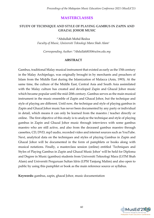## **MASTERCLASSES**

## **STUDY OF TECHNIQUE AND STYLE OF PLAYING GAMBUS IN ZAPIN AND GHAZAL JOHOR MUSIC**

1\*Abdullah Mohd Redza *Faculty of Music, Universiti Teknologi Mara Shah Alam<sup>1</sup>*

*Corresponding Author: \*Abdullah8030@uitm.edu.my*

#### **ABSTRACT**

Gambus, traditional Malay musical instrument that existed as early as the 15th century in the Malay Archipelago, was originally brought in by merchants and preachers of Islam from the Middle East during the Islamization of Malacca (Anis, 1993). At the same time, the culture of the Middle East, Central Asia and South Asia assimilated with the Malay culture has created and developed Zapin and Ghazal Johor music which became popular until the mid-20th century. Gambus serves as the main musical instrument in the music ensemble of Zapin and Ghazal Johor, but the technique and style of playing are different. Until now, the technique and style of playing gambus in Zapin and Ghazal Johor music has never been documented by any party or individual in detail, which means it can only be learned from the maestro / teacher directly or online. The first objective of this study is to analyze the technique and style of playing gambus in Zapin and Ghazal Johor music through interviews with some gambus maestro who are still active, and also from the deceased gambus maestro through cassettes, CD, DVD, mp3 audio, recorded video and internet sources such as YouTube. Next, analytical data on the techniques and styles of playing Gambus in Zapin and Ghazal Johor will be documented in the form of pamphlets or books along with musical notations. Finally, a masterclass session (online) entitled 'Techniques and Styles of Playing Gambus in Zapin and Ghazal Music Johor' will be held for Diploma and Degree in Music (gambus) students from Universiti Teknologi Mara (UiTM Shah Alam) and Universiti Perguruan Sultan Idris (UPSI Tanjung Malim) and also open to public by using this pamphlet or book as the main reference source or syllabus.

**Keywords:** gambus, zapin, ghazal Johor, music documentation

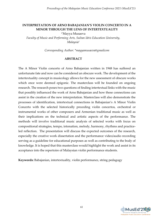## **INTERPRETATION OF ARNO BABAJANIAN'S VIOLIN CONCERTO IN A MINOR THROUGH THE LENS OF INTERTEXTUALITY**

1\*Mayya Musaeva

*Faculty of Music and Performing Arts, Sultan Idris Education University, Malaysia<sup>1</sup>*

*Corresponding Author: \*mayyamusaeva@gmailcom*

#### **ABSTRACT**

The A Minor Violin concerto of Arno Babajanian written in 1948 has suffered an unfortunate fate and now can be considered an obscure work. The development of the intertextuality concept in musicology allows for the new assessment of obscure works which once were deemed epigonic. The masterclass will be founded on ongoing research. The research poses two questions of finding intertextual links with the music that possibly influenced the work of Arno Babajanian and how these connections can assist in the creation of the new interpretation. Masterclass will also demonstrate the processes of identification, intertextual connections in Babajanian's A Minor Violin Concerto with the selected historically preceding violin concertos, orchestral or instrumental works of other composers and Armenian traditional music as well as their implications on the technical and artistic aspects of the performance. The methods will involve traditional music analysis of selected works with focus on compositional strategies, tempo, intonation, melody, harmony, rhythms and practiceled reflection. The presentation will discuss the expected outcomes of the research, especially the creative work dissertation and the performance video/audio recording serving as a guideline for educational purposes as well as contributing to the body of knowledge. It is hoped that this masterclass would highlight the work and assist in its acceptance into the repertoire of Malaysian violin performance students.

**Keywords:** Babajanian, intertextuality, violin performance, string pedagogy

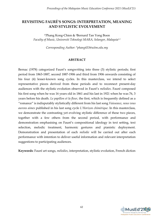# **REVISITING FAURÉ'S SONGS: INTERPRETATION, MEANING AND STYLISTIC EVOLVEMENT**

1\*Phang Kong-Chien & <sup>2</sup>Bernard Tan Yong Boon *Faculty of Music, Universiti Teknologi MARA, Selangor, Malaysia1.2*

*Corresponding Author: [\\*phang433@uitm.edu.](mailto:phang433@uitm.my.edu)my*

## **ABSTRACT**

Bernac (1978) categorized Fauré's songwriting into three (3) stylistic periods; first period from 1863-1887, second 1887-1906 and third from 1906 onwards consisting of his four (4) lesser-known song cycles. In this masterclass, we intend to select representative pieces derived from these periods and to reconnect present-day audiences with the stylistic evolution observed in Fauré's *mélodies*. Fauré composed his first song when he was 16 years old in 1861 and his last in 1921 when he was 76, 3 years before his death. *Le papillon et la fleur*, the first, which is frequently defined as a "romance" is indisputably stylistically different from his last song *Vaisseaux, nous vous aurons aimes* published in his last song cycle *L'Horizon chimérique*. In this masterclass, we demonstrate the contrasting yet evolving stylistic difference of these two pieces, together with a few others from the second period, with performance and demonstration emphasising on Fauré's compositional ideology in text setting, text selection, melodic treatment, harmonic gestures and pianistic deployment. Demonstration and presentation of each *mélodie* will be carried out after each performance with intention to deliver useful information and relevant interpretation suggestions to participating audiences.

**Keywords**: Fauré art songs, *mélodies*, interpretation, stylistic evolution, French diction

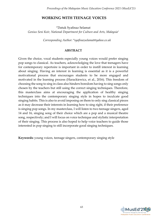## **WORKING WITH TEENAGE VOICES**

1\*Datuk Syafinaz Selamat *Genius Seni Koir, National Department for Culture and Arts, Malaysia<sup>1</sup>*

*Corresponding Author: \*syafinazselamat@yahoo.co.uk*

#### **ABSTRACT**

Given the choice, vocal students especially young voices would prefer singing pop songs to classical. As teachers, acknowledging the love that teenagers have for contemporary repertoire is important in order to instill interest in learning about singing. Having an interest in learning is essential as it is a powerful motivational process that encourages students to be more engaged and motivated in the learning process (Harackiewicz, et al., 2016). This freedom of choosing the song to sing in class also hinders boredom having to sing songs only chosen by the teachers but still using the correct singing techniques. Therefore, this masterclass aims at encouraging the application of healthy singing techniques into the contemporary singing style in hopes to inculcate good singing habits. This is also to avoid imposing on them to only sing classical pieces as it may decrease their interests in learning how to sing right, if their preference is singing pop songs. In my masterclass, I will listen to two teenage singers, aged 14 and 16, singing song of their choice which are a pop and a musical theatre song, respectively; and I will focus on voice technique and stylistic interpretation of their singing. This process is also hoped to help voice teachers to guide those interested in pop singing to still incorporate good singing techniques.

**Keywords:** young voices, teenage singers, contemporary singing style

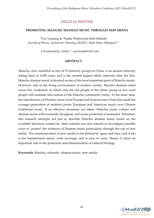# **DIGITAL POSTER**

## **PROMOTING MANCHU SHAMAN MUSIC THROUGH NEW MEDIA**

1\*Cui Yumeng & <sup>2</sup>Nadia Widyawati binti Madzhi *Faculty of Music, Universiti Teknologi MARA, Shah Alam, Malaysia1&2*

*Corresponding Author: \* yumenghk@163.com*

## **ABSTRACT**

Manchu, now classified as one of 55 minority groups in China, is an ancient minority dating back to 4,000 years and is the second largest ethnic minority after the Hui. Manchu shaman music is deemed as one of the most important parts of Manchu music. However, due to the living environment of modern society, Manchu shaman ritual music has weakened, of which only the old people in the ethnic group or few rural people still maintain this custom in the Manchu community today. At the same time, the introduction of Western music from Europe and America into China has made the younger generation of students prefer European and American music over Chinese traditional music. If no effective measures are taken, Manchu music culture and shaman music will eventually disappear, and music protection is imminent. Therefore, this research attempts not just to describe Manchu shaman music based on the available literature written by other scholars but also intends to investigate possible ways to 'protect' the existence of Shaman music particularly through the use of new media. The communication of new media is not limited by space and time, and it has a fast transmission speed, wide coverage, and is easy to carry. Hence, it plays an important role in the protection and dissemination of cultural heritage.

**Keywords:** Manchu, minority, shaman music, new media

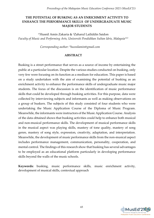## **THE POTENTIAL OF BUSKING AS AN ENRICHMENT ACTIVITY TO ENHANCE THE PERFORMANCE SKILLS OF UNDERGRADUATE MUSIC MAJOR STUDENTS**

1\*Husnil Amin Zakaria & 2Zaharul Lailiddin Saidon *Faculty of Music and Performing Arts, Universiti Pendidikan Sultan Idris, Malaysia1&2*

*Corresponding author: \*husnilamin@gmail.com*

#### **ABSTRACT**

Busking is a street performance that serves as a source of income by entertaining the public at a particular location. Despite the various studies conducted on busking, only very few were focusing on its function as a medium for education. This paper is based on a study undertaken with the aim of examining the potential of busking as an enrichment activity to enhance the performance skills of undergraduate music major students. The focus of the discussion is on the identification of music performance skills that could be developed through busking activities. For this purpose, data were collected by interviewing subjects and informants as well as making observations on a group of buskers. The subjects of this study consisted of four students who were undertaking the Music Application Course of the Diploma of Music Program. Meanwhile, the informants were instructors of the Music Application Course. Analysis of the data obtained shows that busking activities could help to enhance both musical and non-musical performance skills. The development of musical performance skills in the musical aspect was playing skills, mastery of tone quality, mastery of song genre, mastery of song style, expression, creativity, adaptation, and interpretation. Meanwhile, the development of music performance skills from the non-musical aspect includes performance management, communication, personality, cooperation, and mental control. The findings of this research show that busking has several advantages to be employed as an educational platform particularly in developing performance skills beyond the walls of the music schools.

**Keywords:** busking, music performance skills, music enrichment activity, development of musical skills, contextual approach

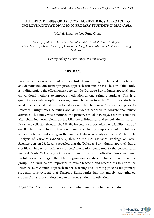### **THE EFFECTIVENESS OF DALCROZE EURHYTHMICS APPROACH TO IMPROVE MOTIVATION AMONG PRIMARY STUDENTS IN MALAYSIA**

1\*Md Jais Ismail & <sup>2</sup>Loo Fung Chiat

*Faculty of Music, Universiti Teknologi MARA, Shah Alam, Malaysia<sup>1</sup> Department of Music, Faculty of Human Ecology, Universiti Putra Malaysia, Serdang, Malaysia<sup>2</sup>*

*Corresponding Author: \*mdjais@uitm.edu.my*

#### **ABSTRACT**

Previous studies revealed that primary students are feeling uninterested, unsatisfied, and demotivated due to inappropriate approaches in music class. The aim of this study is to differentiate the effectiveness between the Dalcroze Eurhythmics approach and conventional methods to improve motivation among primary students. This is a quantitative study adopting a survey research design in which 70 primary students aged nine years old had been selected as a sample. There were 35 students exposed to Dalcroze Eurhythmics activities and 35 students exposed to conventional music activities. This study was conducted in a primary school in Putrajaya for three months after obtaining permission from the Ministry of Education and school administrators. Data were collected through the MUSIC Inventory survey with the reliability value of  $\alpha$ =0.8. There were five motivation domains including empowerment, usefulness, success, interest, and caring in the survey. Data were analysed using Multivariate Analysis of Variance (MANOVA) through the IBM Statistical Package of Social Sciences version 23. Results revealed that the Dalcroze Eurhythmics approach has a significant impact on primary students' motivation compared to the conventional method. MANOVA analysis indicated three domains of motivation (empowerment, usefulness, and caring) in the Dalcroze group are significantly higher than the control group. The findings are important to music teachers and researchers to apply the Dalcroze Eurhythmics approach in the teaching and learning process for primary students. It is evident that Dalcroze Eurhythmics has not merely strengthened students' musicality, it does help to improve students' motivation.

**Keywords:** Dalcroze Eurhythmics, quantitative, survey, motivation, children

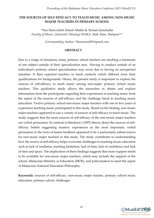#### **THE SOURCES OF SELF-EFFICACY TO TEACH MUSIC AMONG NON-MUSIC MAJOR TEACHERS IN PRIMARY SCHOOL**

1\*Nur Hawa binti Zainal Abidin & <sup>2</sup> Juriani Jamaludin *Faculty of Music*, *Universiti Teknologi MARA, Shah Alam, Malaysia1&2*

*Corresponding Author: \*hawazainal91@gmail.com*

#### **ABSTRACT**

Due to a range of situations, many primary school teachers are teaching a minimum of one subject outside of their specialization area. Having to conduct outside of an individual's primary school specialization may occur due to having an unexpected situation. It then expected teachers to teach contents which differed from their qualifications for backgrounds. Hence, the present study is important to explore the sources of self-efficacy to teach music among non-major primary school music teachers. This qualitative study allows the researcher to obtain and explore information from the participants regarding their experiences in teaching music from the aspect of the sources of self-efficacy and the challenge faced in teaching music education. Twelve primary school non-music major teachers with one to five years of experience teaching music participated in this study. Based on the finding, non-music major teachers appeared to use a variety of sources of self-efficacy to teach music. The study suggests that the main sources of self-efficacy of the non-music major teachers are verbal persuasion. In contrast to Bandura's (1997) theory about the sources of selfefficacy beliefs suggesting mastery experiences as the most important, verbal persuasion in the form of lesson feedback appeared to be a particularly salient source for non-music major teachers in this study. The study contributes to understanding how the source of self-efficacy helps overcome challenges in teaching music education such as lack of readiness, teaching limitation, lack of time, lack of confidence and lack of time and space. The implication of these findings suggests that more support needs to be available for non-music major teachers, which may include the support of the school, Malaysian Ministry or Education (MOE), and policymakers to meet the aspire of Malaysian National Education Philosophy.

**Keywords**: sources of self-efficacy, non-music major teacher, primary school music education, primary school, challenges

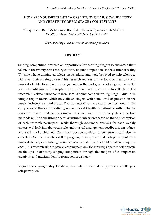## **"HOW ARE YOU DIFFERENT?" A CASE STUDY ON MUSICAL IDENTITY AND CREATIVITY OF BIG STAGE 1 CONTESTANTS**

1\*Sissy Imann Binti Mohammad Kamil & 2Nadia Widyawati Binti Madzhi *Faculty of Music, Universiti Teknologi MARA1&2*

*Corresponding Author: \*sissyimannmk@gmail.com*

#### **ABSTRACT**

Singing competition presents an opportunity for aspiring singers to showcase their talent. In the twenty-first century culture, singing competitions in the setting of reality TV shows have dominated television schedules and were believed to help talents to kick start their singing career. This research focuses on the topic of creativity and musical identity formation of a singer within the background of singing reality TV shows by utilising self-perception as a primary instrument of data collection. The research involves participants from local singing competition Big Stage 1 due to its unique requirements which only allows singers with some level of presence in the music industry to participate. The framework on creativity centres around the componential theory of creativity, while musical identity is defined broadly to be the signature quality that people associate a singer with. The primary data collection methods will be done through semi-structured interviews based on the self-perception of each research participant, while thorough document analysis for each weekly concert will look into the vocal style and musical arrangement, feedback from judges, and total marks obtained. Data from post-competition career growth will also be collected. As this research is still in progress, it is expected that each participant faces musical challenges revolving around creativity and musical identity that are unique to each. This research aims to pave a learning pathway for aspiring singers to self-educate on the upside of reality singing competition through the analysis of its impact on creativity and musical identity formation of a singer.

**Keywords:** singing reality TV show, creativity, musical identity, musical challenges, self-perception

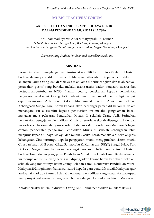**MUSIC TEACHERS' FORUM**

#### **AKSESIBILITI DAN INKLUSIVITI BUDAYA ETNIK DALAM PENDIDIKAN MUZIK MALAYSIA**

<sup>1</sup>\*Muhammad Syaraff Alwi & <sup>2</sup>Satyaprabu K. Kumar *Sekolah Kebangsaan Sungai Dua, Bentong, Pahang, Malaysia<sup>1</sup> Sekolah Jenis Kebangsaan Tamil Sungai Salak, Lukut, Negeri Sembilan, Malaysia<sup>2</sup>*

*Corresponding Author: \*muhammad.syaraff@moe.edu.my*

#### **ABSTRAK**

Forum ini akan mengetengahkan isu-isu aksesibiliti kaum minoriti dan inklusiviti budaya dalam pendidikan muzik di Malaysia. Aksesibiliti kepada pendidikan di kalangan kaum Orang Asli di Malaysia telah lama diperbincangkan dan telah banyak perubahan positif yang berlaku melalui usaha-usaha badan kerajaan, swasta dan pertubuhan-pertubuhan NGO. Namun begitu, penekanan kepada pendekatan pengajaran anak-anak Orang Asli melalui pendidikan muzik belum lagi banyak diperbincangkan. Ahli panel Cikgu Muhammad Syaraff Alwi dari Sekolah Kebangsaan Subgai Dua, Karak Pahang akan berkongsi persepktif beliau di dalam menangani isu aksesibiliti kepada pendidikan ini melalui pengalaman beliau mengajar mata pelajaran Pendidikan Muzik di sekolah Orang Asli. Seringkali pendekatan pengajaran Pendidikan Muzik di sekolah-sekolah dipengaruhi dengan majoriti sesuatu kaum dan jenis sekolah di dalam sistem pendidikan Malaysia. Sebagai contoh, pendekatan pengajaran Pendidikan Muzik di sekolah kebangsaan lebih menjurus kepada budaya Melayu dan muzik klasikal barat, manakala di sekolah jenis kebangsaan Cina tertumpu kepada pengajaran muzik menggunakan sistem muzik Cina dan barat. Ahli panel Cikgu Satyaprabu K. Kumar dari SJK(T) Sungai Salak, Port Dickson, Negeri Sembilan akan berkongsi perspektif beliau untuk isu inklusiviti budaya Tamil dalam pengajaran Pendidikan Muzik di sekolah Tamil. Kedua-dua isu ini merupakan isu-isu yang seringkali dipinggirkan kerana hanya berlaku di sekolahsekolah yang minoritinya kaum Orang Asli dan Tamil. Konferensi Pendidikan Muzik Malaysia 2021 ingin membawa isu-isu ini kepada para pendidik muzik Malaysia agar anak-anak dari dua kaum ini dapat menikmati pendidikan yang sama rata walaupun mempunyai perbezaan dari segi sosio budaya dengan kaum-kaum lain di Malaysia.

**Katakunci:** aksesibiliti, inklusiviti, Orang Asli, Tamil, pendidikan muzik Malaysia

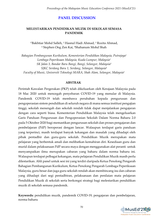## **PANEL DISCUSSION**

#### **MELESTARIKAN PENDIDIKAN MUZIK DI SEKOLAH SEMASA PANDEMIK**

1\*Bakhtiar Mohd Salleh, <sup>2</sup> Hasnul Hadi Ahmad, <sup>3</sup> Rozita Ahmad, <sup>4</sup> Stephen Ong Zen Kai, <sup>5</sup>Shahanum Mohd Shah

*Bahagian Pembangunan Kurikulum, Kementerian Pendidikan Malaysia, Putrajaya<sup>1</sup> Lembaga Peperiksaan Malaysia, Kuala Lumpur, Malaysia<sup>2</sup> SK Jalan 3, Bandar Baru Bangi, Bangi, Selangor, Malaysia<sup>3</sup> SJKC Serdang Baru 1, Serdang, Selangor, Malaysia<sup>4</sup> Faculty of Music, Universiti Teknologi MARA, Shah Alam, Selangor, Malaysia<sup>5</sup>*

#### **ABSTRAK**

Perintah Kawalan Pergerakan (PKP) telah dikeluarkan oleh Kerajaan Malaysia pada 18 Mac 2020 untuk mencegah penyebaran COVID-19 yang menular di Malaysia. Pandemik COVID-19 telah membawa perubahan kepada pengurusan dan pengoperasian sistem pendidikan di seluruh negara di mana semua institusi pengajian tinggi, sekolah menengah dan sekolah rendah tidak dapat menjalankan pengajaran dengan cara seperti biasa. Kementerian Pendidikan Malaysia telah mengeluarkan Garis Panduan Pengurusan dan Pengoperasian Sekolah Dalam Norma Baharu 2.0 pada 5 Oktober 2020 bagi memastikan pengurusan sekolah dan proses pengajaran dan pembelajaran (PdP) beroperasi dengan lancar. Walaupun terdapat garis panduan yang terperinci, masih terdapat banyak kekangan dan masalah yang dihadapi oleh pihak pentadbir dan guru-guru sekolah. Pendidikan Muzik merupakan mata pelajaran yang berbentuk amali dan melibatkan kemahiran diri. Kesediaan guru dan murid dalam pelaksanaan PdP secara maya dengan menggunakan alat peranti untuk menyampaikan ilmu merupakan cabaran yang baharu dalam norma baharu ini. Walaupun terdapat pelbagai kekangan, mata pelajaran Pendidikan Muzik masih perlu dilestarikan. Ahli panel untuk sesi ini yang terdiri daripada Ketua Penolong Pengarah Bahagian Pembangunan Kurikulum, Ketua Penolong Pengarah Lembaga Peperiksaan Malaysia, guru besar dan juga guru sekolah rendah akan membincang isu dan cabaran yang dihadapi dari segi pentadbiran, pelaksanaan dan penilaian mata pelajaran Pendidikan Muzik di sekolah serta berkongsi strategi bagi melestarikan pendidikan muzik di sekolah semasa pandemik.

**Keywords:** pendidikan muzik, pandemik COVID-19, pengajaran dan pembelajaran, norma baharu

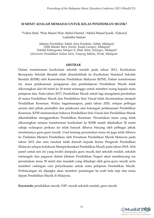#### **30 MINIT ADALAH MEMADAI UNTUK KELAS PENDIDIKAN MUZIK?**

#### 1\*Valeri Sinti, <sup>2</sup>Wan Mazni Wan Abdul Hamid , <sup>3</sup>Abdul Manaf Jusoh, <sup>4</sup>Zaharul Lailiddin Saidon

*Jabatan Pendidikan Sabah, Kota Kinabalu, Sabah, Malaysia<sup>1</sup> SMK Bandar Baru Sentul, Kuala Lumpur, Malaysia<sup>2</sup> Sekolah Kebangsaan Seksyen 9, Shah Alam, Selangor, Malaysia<sup>3</sup> Universiti Pendidikan Sultan Idris, Tanjong Malim, Perak, Malaysia<sup>4</sup>*

#### **ABSTRAK**

Dalam transformasi kurikulum sekolah rendah pada tahun 2011, Kurikulum Bersepadu Sekolah Rendah telah ditambahbaik ke Kurikulum Standard Sekolah Rendah (KSSR) oleh Kementerian Pendidikan Malaysia (KPM). Dalam transformasi ini, masa pelaksanaan pengajaran dan pembelajaran Pendidikan Muzik telah dikurangkan dari 60 minit ke 30 minit seminggu untuk memberi ruang kepada mata pelajaran lain. Pada tahun 2017, Pendidikan Muzik sekali lagi mengalami perubahan di mana Pendidikan Muzik dan Pendidikan Seni Visual telah dicantumkan menjadi Pendidikan Kesenian. Walau bagaimanapun, pada tahun 2020, selepas pelbagai seruan dari pihak pentadbir dan pelaksana atas kekangan pelaksanaan Pendidikan Kesenian, KPM memutuskan bahawa Pendidikan Seni Visual dan Pendidikan Muzik dikembalikan menggantikan Pendidikan Kesenian. Peruntukan masa yang telah dikurangkan semasa transformasi kurikulum ke KSSR masih dikekalkan 30 minit sahaja walaupun perkara ini telah banyak dibawa bincang oleh pelbagai pihak terutamanya guru-guru muzik. Usul tentang peruntukan masa ini juga telah dibawa ke Timbalan Menteri Pendidikan oleh Persatuan Pendidikan Muzik Malaysia pada tahun 2015 dan satu resolusi telah diserah kepada Ketua Pengarah Pendidikan Malaysia selepas kolokium Memperkasakan Pendidikan Muzik pada tahun 2018. Ahli panel untuk sesi ini yang terdiri daripada guru muzik dari sekolah rendah, sekolah menengah dan pegawai dalam Jabatan Pendidikan Negeri akan membincang isu peruntukan masa 30 minit dan masalah yang dihadapi oleh guru-guru muzik serta memberi cadangan cara penyelesaian untuk mata pelajaran Pendidikan Muzik. Perbincangan ini dijangka akan memberi pandangan ke arah hala tuju dan masa depan Pendidikan Muzik di Malaysia.

**Keywords:** pendidikan muzik, PdP, muzik sekolah rendah, guru muzik

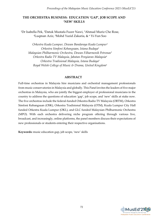## **THE ORCHESTRA BUSINESS: EDUCATION 'GAP', JOB SCOPE AND 'NEW' SKILLS**

<sup>1</sup>Dr Isabella Pek, 2Datuk Mustafa Fuzer Nawi, 3Ahmad Muriz Che Rose, <sup>4</sup>Luqman Aziz, 5Mohd Yazid Zakaria, & <sup>6</sup> Yi-Yun Soo

*Orkestra Kuala Lumpur, Dewan Bandaraya Kuala Lumpur<sup>1</sup> Orkestra Simfoni Kebangsaan, Istana Budaya<sup>2</sup> Malaysian Philharmonic Orchestra, Dewan Filharmonik Petronas<sup>3</sup> Orkestra Radio TV Malaysia, Jabatan Penyiaran Malaysia<sup>4</sup> Orkestra Tradisional Malaysia, Istana Budaya<sup>5</sup> Royal Welsh College of Music & Drama, United Kingdom<sup>6</sup>*

#### **ABSTRACT**

Full-time orchestras in Malaysia hire musicians and orchestral management professionals from music conservatories in Malaysia and globally. This Panel invites the leaders of five major orchestras in Malaysia, who are jointly the biggest employer of professional musicians in the country to address the questions of education 'gap', job scope, and 'new' skills at stake now. The five orchestras include the federal-funded Orkestra Radio TV Malaysia (ORTM), Orkestra Simfoni Kebangsaan (OSK), Orkestra Tradisional Malaysia (OTM), Kuala Lumpur City Hall funded Orkestra Kuala Lumpur (OKL), and GLC funded Malaysian Philharmonic Orchestra (MPO). With each orchestra delivering niche program offering through various live, broadcast, and increasingly, online platforms, the panel members discuss their expectations of new professionals or students entering their respective organisations.

**Keywords:** music education gap, job scope, 'new' skills